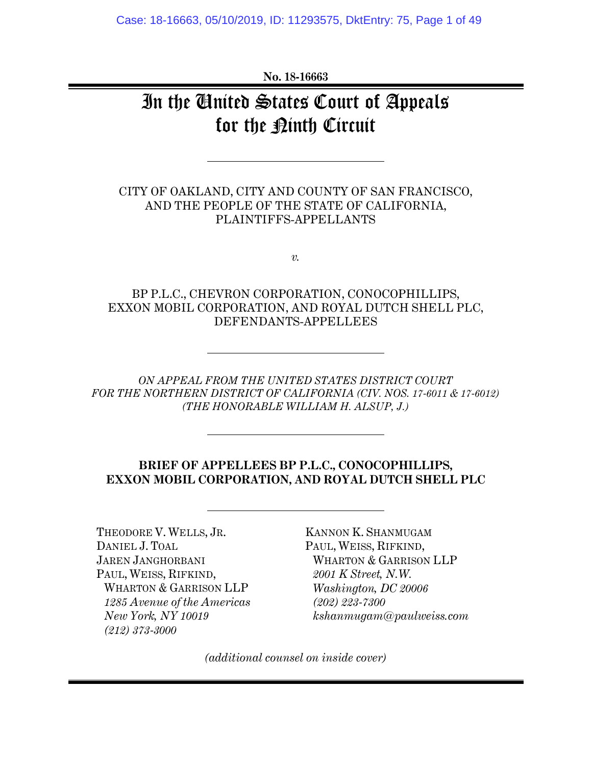**No. 18-16663** 

# In the United States Court of Appeals for the <u>Pinth</u> Circuit

CITY OF OAKLAND, CITY AND COUNTY OF SAN FRANCISCO, AND THE PEOPLE OF THE STATE OF CALIFORNIA, PLAINTIFFS-APPELLANTS

*v.* 

### BP P.L.C., CHEVRON CORPORATION, CONOCOPHILLIPS, EXXON MOBIL CORPORATION, AND ROYAL DUTCH SHELL PLC, DEFENDANTS-APPELLEES

*ON APPEAL FROM THE UNITED STATES DISTRICT COURT FOR THE NORTHERN DISTRICT OF CALIFORNIA (CIV. NOS. 17-6011 & 17-6012) (THE HONORABLE WILLIAM H. ALSUP, J.)* 

### **BRIEF OF APPELLEES BP P.L.C., CONOCOPHILLIPS, EXXON MOBIL CORPORATION, AND ROYAL DUTCH SHELL PLC**

THEODORE V. WELLS, JR. DANIEL J. TOAL JAREN JANGHORBANI PAUL, WEISS, RIFKIND, WHARTON & GARRISON LLP *1285 Avenue of the Americas New York, NY 10019 (212) 373-3000* 

KANNON K. SHANMUGAM PAUL, WEISS, RIFKIND, WHARTON & GARRISON LLP *2001 K Street, N.W. Washington, DC 20006 (202) 223-7300 kshanmugam@paulweiss.com* 

*(additional counsel on inside cover)*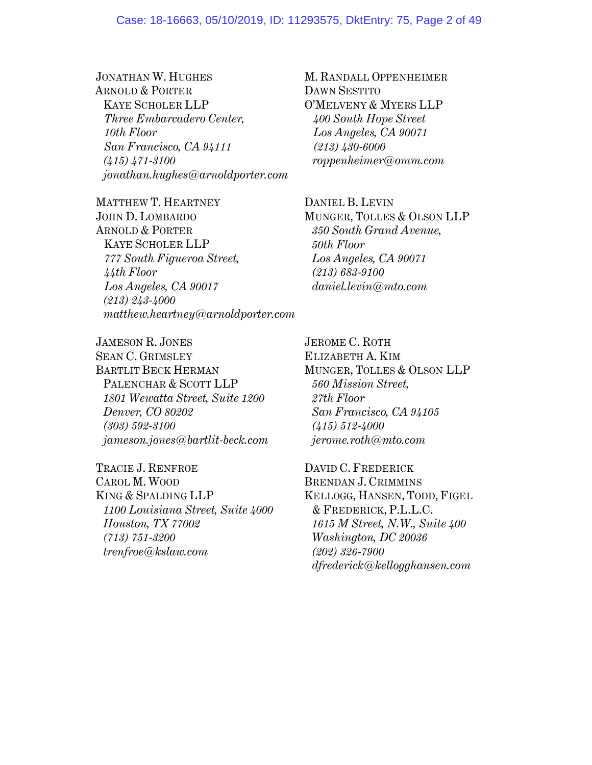#### Case: 18-16663, 05/10/2019, ID: 11293575, DktEntry: 75, Page 2 of 49

### JONATHAN W. HUGHES ARNOLD & PORTER KAYE SCHOLER LLP *Three Embarcadero Center, 10th Floor San Francisco, CA 94111 (415) 471-3100 jonathan.hughes@arnoldporter.com*

MATTHEW T. HEARTNEY JOHN D. LOMBARDO ARNOLD & PORTER KAYE SCHOLER LLP *777 South Figueroa Street, 44th Floor Los Angeles, CA 90017 (213) 243-4000 matthew.heartney@arnoldporter.com*

JAMESON R. JONES SEAN C. GRIMSLEY BARTLIT BECK HERMAN PALENCHAR & SCOTT LLP *1801 Wewatta Street, Suite 1200 Denver, CO 80202 (303) 592-3100 jameson.jones@bartlit-beck.com* 

TRACIE J. RENFROE CAROL M. WOOD KING & SPALDING LLP *1100 Louisiana Street, Suite 4000 Houston, TX 77002 (713) 751-3200 trenfroe@kslaw.com* 

M. RANDALL OPPENHEIMER DAWN SESTITO O'MELVENY & MYERS LLP *400 South Hope Street Los Angeles, CA 90071 (213) 430-6000 roppenheimer@omm.com* 

DANIEL B. LEVIN MUNGER, TOLLES & OLSON LLP *350 South Grand Avenue, 50th Floor Los Angeles, CA 90071 (213) 683-9100 daniel.levin@mto.com*

JEROME C. ROTH ELIZABETH A. KIM MUNGER, TOLLES & OLSON LLP *560 Mission Street, 27th Floor San Francisco, CA 94105 (415) 512-4000 jerome.roth@mto.com* 

DAVID C. FREDERICK BRENDAN J. CRIMMINS KELLOGG, HANSEN, TODD, FIGEL & FREDERICK, P.L.L.C. *1615 M Street, N.W., Suite 400 Washington, DC 20036 (202) 326-7900 dfrederick@kellogghansen.com*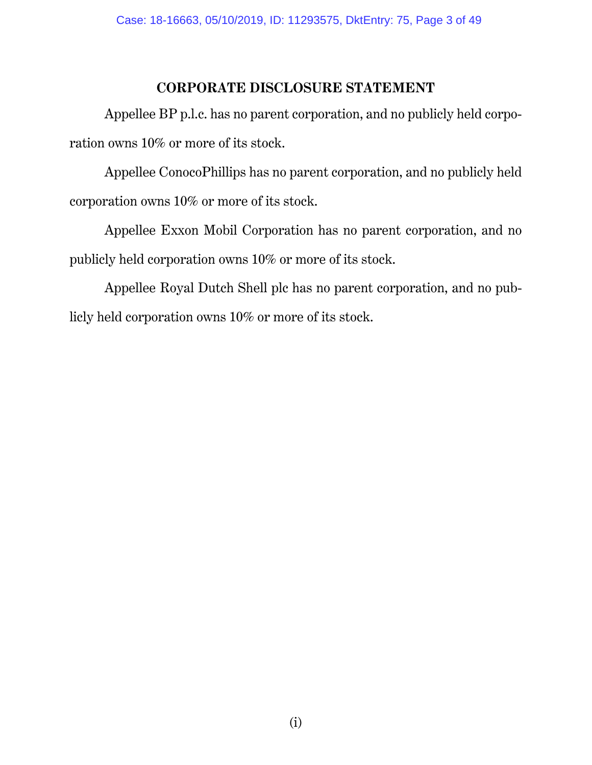## **CORPORATE DISCLOSURE STATEMENT**

Appellee BP p.l.c. has no parent corporation, and no publicly held corporation owns 10% or more of its stock.

Appellee ConocoPhillips has no parent corporation, and no publicly held corporation owns 10% or more of its stock.

Appellee Exxon Mobil Corporation has no parent corporation, and no publicly held corporation owns 10% or more of its stock.

Appellee Royal Dutch Shell plc has no parent corporation, and no publicly held corporation owns 10% or more of its stock.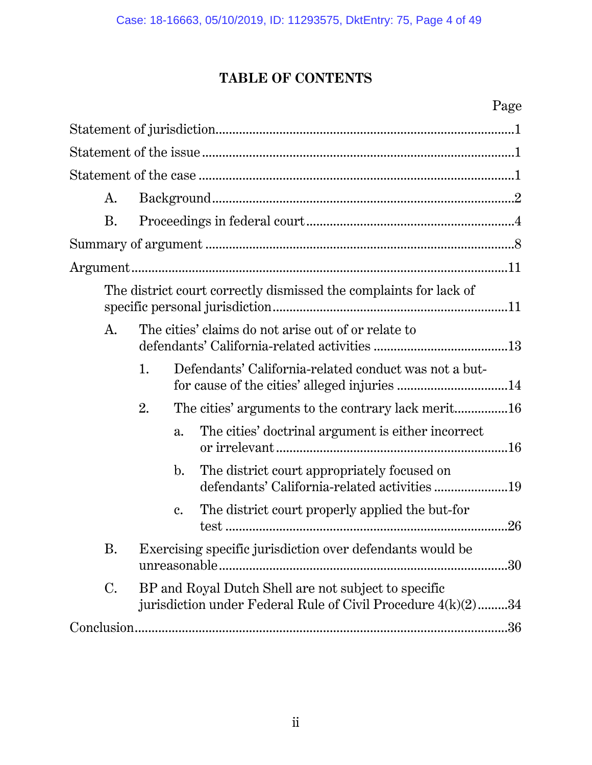# **TABLE OF CONTENTS**

# Page

| A.        |                                                                                                                      |                |                                                                                            |     |  |  |
|-----------|----------------------------------------------------------------------------------------------------------------------|----------------|--------------------------------------------------------------------------------------------|-----|--|--|
| Β.        |                                                                                                                      |                |                                                                                            |     |  |  |
|           |                                                                                                                      |                |                                                                                            |     |  |  |
|           |                                                                                                                      |                |                                                                                            |     |  |  |
|           |                                                                                                                      |                | The district court correctly dismissed the complaints for lack of                          |     |  |  |
| A.        |                                                                                                                      |                | The cities' claims do not arise out of or relate to                                        |     |  |  |
|           | 1.                                                                                                                   |                | Defendants' California-related conduct was not a but-                                      |     |  |  |
|           | 2.                                                                                                                   |                |                                                                                            |     |  |  |
|           |                                                                                                                      | a.             | The cities' doctrinal argument is either incorrect                                         |     |  |  |
|           |                                                                                                                      | $\mathbf{b}$ . | The district court appropriately focused on<br>defendants' California-related activities19 |     |  |  |
|           |                                                                                                                      | c.             | The district court properly applied the but-for                                            | .26 |  |  |
| Β.        |                                                                                                                      |                | Exercising specific jurisdiction over defendants would be                                  |     |  |  |
| $\rm C$ . | BP and Royal Dutch Shell are not subject to specific<br>jurisdiction under Federal Rule of Civil Procedure 4(k)(2)34 |                |                                                                                            |     |  |  |
|           |                                                                                                                      |                |                                                                                            | .36 |  |  |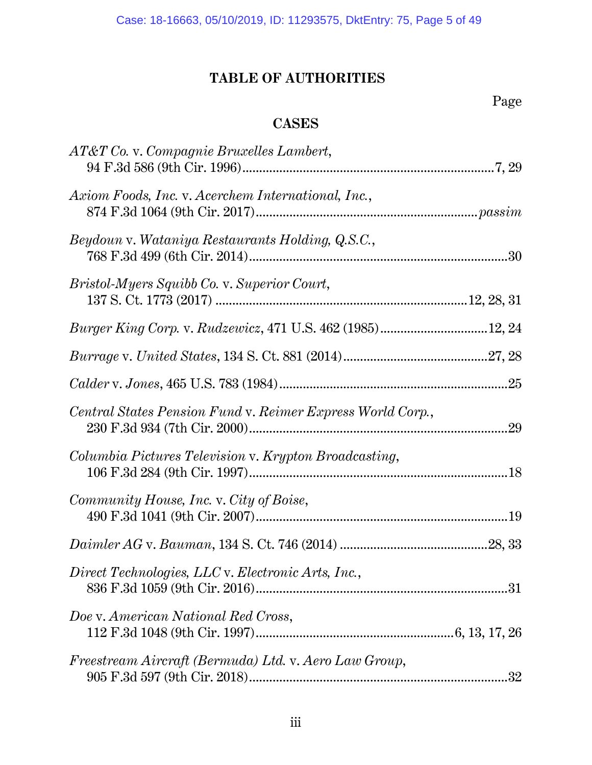# **TABLE OF AUTHORITIES**

Page

# **CASES**

| AT&T Co. v. Compagnie Bruxelles Lambert,                   |    |
|------------------------------------------------------------|----|
| Axiom Foods, Inc. v. Acerchem International, Inc.,         |    |
| Beydoun v. Wataniya Restaurants Holding, Q.S.C.,           |    |
| <i>Bristol-Myers Squibb Co. v. Superior Court,</i>         |    |
| Burger King Corp. v. Rudzewicz, 471 U.S. 462 (1985)12, 24  |    |
|                                                            |    |
|                                                            |    |
| Central States Pension Fund v. Reimer Express World Corp., |    |
| Columbia Pictures Television v. Krypton Broadcasting,      |    |
| Community House, Inc. v. City of Boise,                    |    |
|                                                            |    |
| Direct Technologies, LLC v. Electronic Arts, Inc.,         |    |
| Doe v. American National Red Cross,                        |    |
| Freestream Aircraft (Bermuda) Ltd. v. Aero Law Group,      | 32 |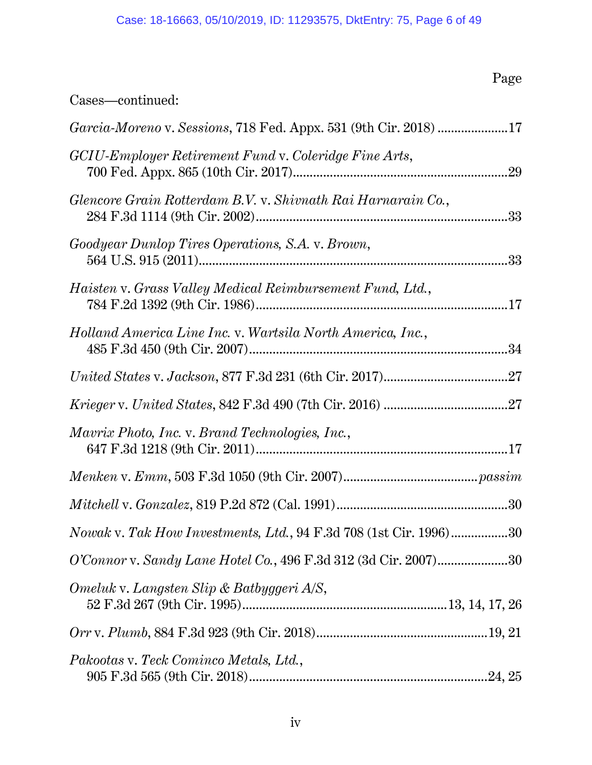# Page

# Cases—continued:

| <i>Garcia-Moreno v. Sessions, 718 Fed. Appx. 531 (9th Cir. 2018) 17</i>   |
|---------------------------------------------------------------------------|
| GCIU-Employer Retirement Fund v. Coleridge Fine Arts,                     |
| Glencore Grain Rotterdam B.V. v. Shivnath Rai Harnarain Co.,              |
| Goodyear Dunlop Tires Operations, S.A. v. Brown,                          |
| Haisten v. Grass Valley Medical Reimbursement Fund, Ltd.,                 |
| Holland America Line Inc. v. Wartsila North America, Inc.,                |
|                                                                           |
|                                                                           |
| Mavrix Photo, Inc. v. Brand Technologies, Inc.,                           |
|                                                                           |
|                                                                           |
| <i>Nowak v. Tak How Investments, Ltd.</i> , 94 F.3d 708 (1st Cir. 1996)30 |
| O'Connor v. Sandy Lane Hotel Co., 496 F.3d 312 (3d Cir. 2007)30           |
| Omeluk v. Langsten Slip & Batbyggeri A/S,                                 |
|                                                                           |
| Pakootas v. Teck Cominco Metals, Ltd.,                                    |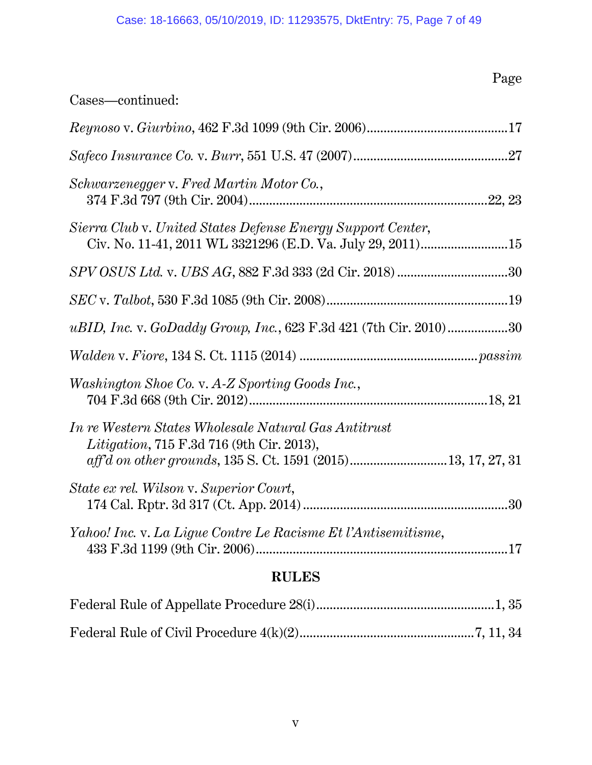# Page

| Cases-continued:                                                                                                          |  |  |  |
|---------------------------------------------------------------------------------------------------------------------------|--|--|--|
|                                                                                                                           |  |  |  |
|                                                                                                                           |  |  |  |
| Schwarzenegger v. Fred Martin Motor Co.,                                                                                  |  |  |  |
| Sierra Club v. United States Defense Energy Support Center,<br>Civ. No. 11-41, 2011 WL 3321296 (E.D. Va. July 29, 2011)15 |  |  |  |
|                                                                                                                           |  |  |  |
|                                                                                                                           |  |  |  |
| uBID, Inc. v. GoDaddy Group, Inc., 623 F.3d 421 (7th Cir. 2010)30                                                         |  |  |  |
|                                                                                                                           |  |  |  |
| Washington Shoe Co. v. A-Z Sporting Goods Inc.,                                                                           |  |  |  |
| <i>In re Western States Wholesale Natural Gas Antitrust</i><br><i>Litigation</i> , 715 F.3d 716 (9th Cir. 2013),          |  |  |  |
| State ex rel. Wilson v. Superior Court,                                                                                   |  |  |  |
| Yahoo! Inc. v. La Ligue Contre Le Racisme Et l'Antisemitisme,                                                             |  |  |  |
| <b>RULES</b>                                                                                                              |  |  |  |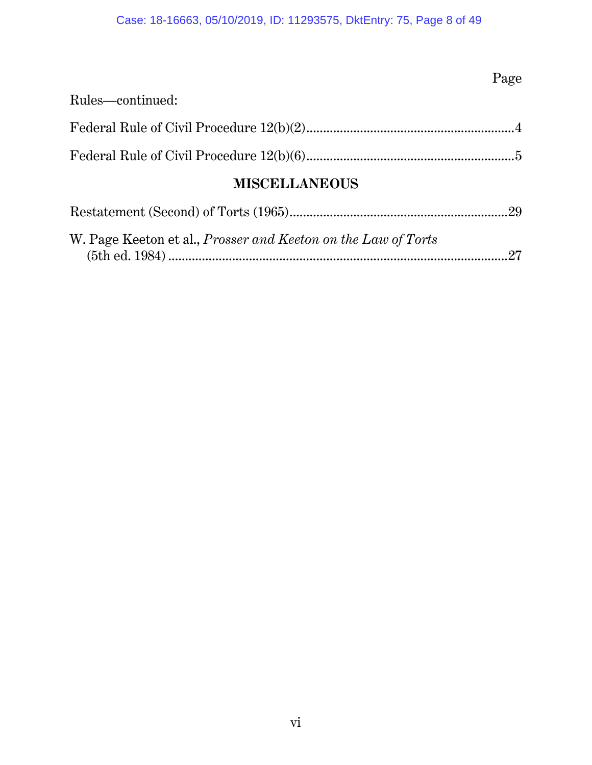# Case: 18-16663, 05/10/2019, ID: 11293575, DktEntry: 75, Page 8 of 49

# Page

| Rules—continued: |  |
|------------------|--|
|                  |  |
|                  |  |

# **MISCELLANEOUS**

| W. Page Keeton et al., <i>Prosser and Keeton on the Law of Torts</i> |  |
|----------------------------------------------------------------------|--|
|                                                                      |  |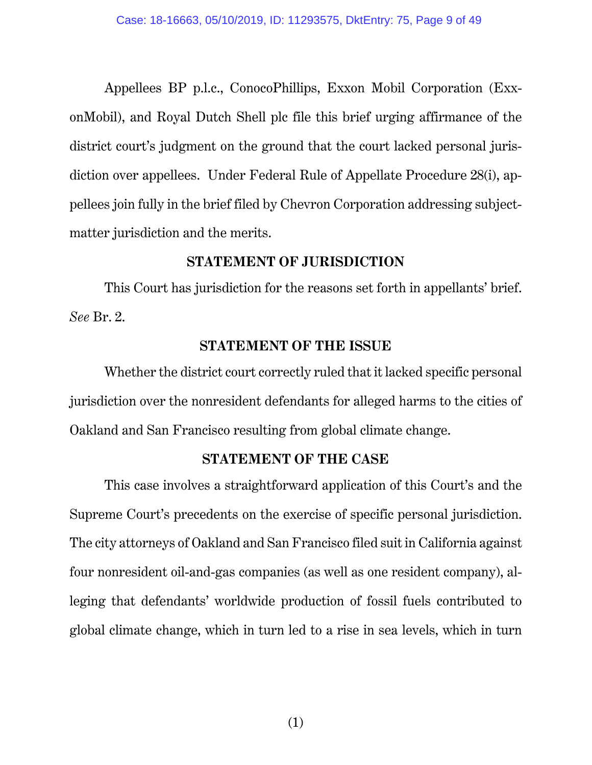Appellees BP p.l.c., ConocoPhillips, Exxon Mobil Corporation (ExxonMobil), and Royal Dutch Shell plc file this brief urging affirmance of the district court's judgment on the ground that the court lacked personal jurisdiction over appellees. Under Federal Rule of Appellate Procedure 28(i), appellees join fully in the brief filed by Chevron Corporation addressing subjectmatter jurisdiction and the merits.

### **STATEMENT OF JURISDICTION**

This Court has jurisdiction for the reasons set forth in appellants' brief. *See* Br. 2.

### **STATEMENT OF THE ISSUE**

Whether the district court correctly ruled that it lacked specific personal jurisdiction over the nonresident defendants for alleged harms to the cities of Oakland and San Francisco resulting from global climate change.

### **STATEMENT OF THE CASE**

This case involves a straightforward application of this Court's and the Supreme Court's precedents on the exercise of specific personal jurisdiction. The city attorneys of Oakland and San Francisco filed suit in California against four nonresident oil-and-gas companies (as well as one resident company), alleging that defendants' worldwide production of fossil fuels contributed to global climate change, which in turn led to a rise in sea levels, which in turn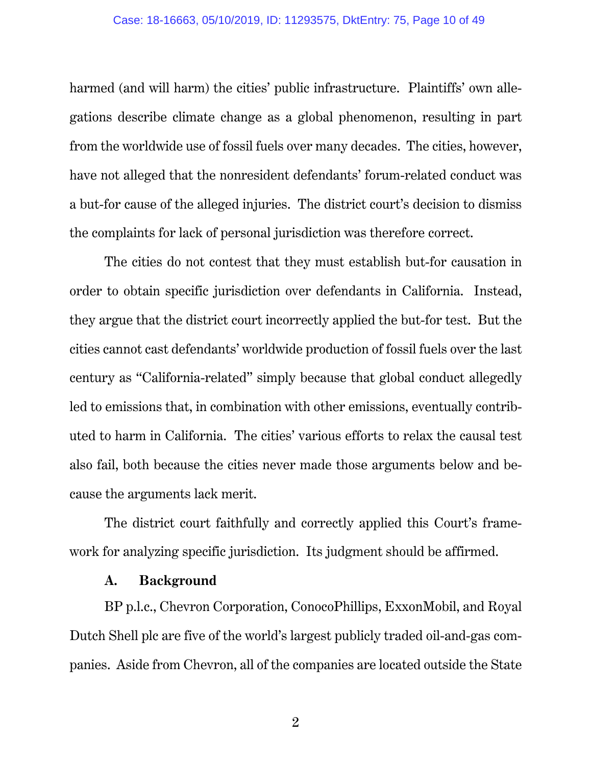harmed (and will harm) the cities' public infrastructure. Plaintiffs' own allegations describe climate change as a global phenomenon, resulting in part from the worldwide use of fossil fuels over many decades. The cities, however, have not alleged that the nonresident defendants' forum-related conduct was a but-for cause of the alleged injuries. The district court's decision to dismiss the complaints for lack of personal jurisdiction was therefore correct.

The cities do not contest that they must establish but-for causation in order to obtain specific jurisdiction over defendants in California. Instead, they argue that the district court incorrectly applied the but-for test. But the cities cannot cast defendants' worldwide production of fossil fuels over the last century as "California-related" simply because that global conduct allegedly led to emissions that, in combination with other emissions, eventually contributed to harm in California. The cities' various efforts to relax the causal test also fail, both because the cities never made those arguments below and because the arguments lack merit.

The district court faithfully and correctly applied this Court's framework for analyzing specific jurisdiction. Its judgment should be affirmed.

### **A. Background**

BP p.l.c., Chevron Corporation, ConocoPhillips, ExxonMobil, and Royal Dutch Shell plc are five of the world's largest publicly traded oil-and-gas companies. Aside from Chevron, all of the companies are located outside the State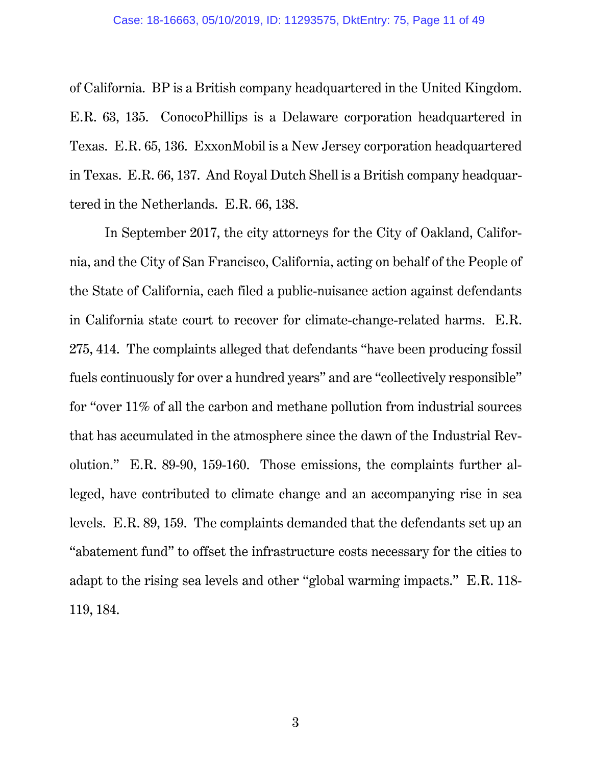of California. BP is a British company headquartered in the United Kingdom. E.R. 63, 135. ConocoPhillips is a Delaware corporation headquartered in Texas. E.R. 65, 136. ExxonMobil is a New Jersey corporation headquartered in Texas. E.R. 66, 137. And Royal Dutch Shell is a British company headquartered in the Netherlands. E.R. 66, 138.

In September 2017, the city attorneys for the City of Oakland, California, and the City of San Francisco, California, acting on behalf of the People of the State of California, each filed a public-nuisance action against defendants in California state court to recover for climate-change-related harms. E.R. 275, 414. The complaints alleged that defendants "have been producing fossil fuels continuously for over a hundred years" and are "collectively responsible" for "over 11% of all the carbon and methane pollution from industrial sources that has accumulated in the atmosphere since the dawn of the Industrial Revolution." E.R. 89-90, 159-160. Those emissions, the complaints further alleged, have contributed to climate change and an accompanying rise in sea levels. E.R. 89, 159. The complaints demanded that the defendants set up an "abatement fund" to offset the infrastructure costs necessary for the cities to adapt to the rising sea levels and other "global warming impacts." E.R. 118- 119, 184.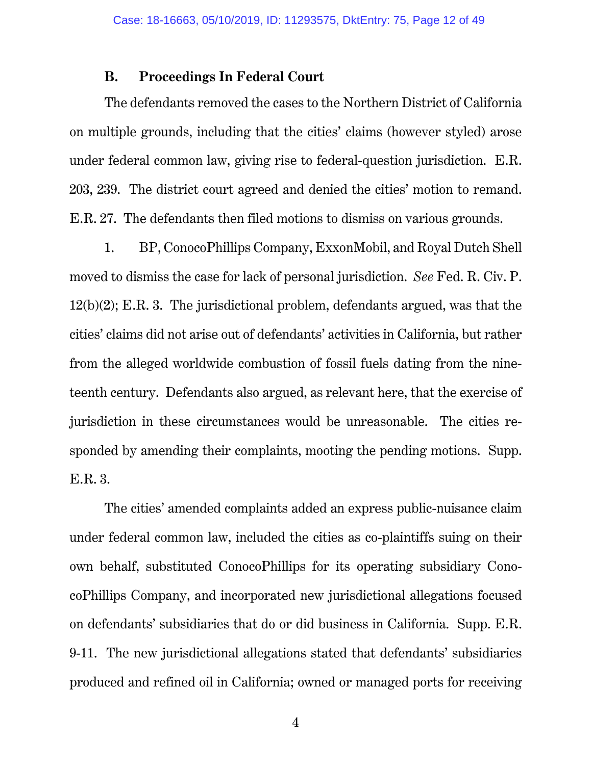### **B. Proceedings In Federal Court**

The defendants removed the cases to the Northern District of California on multiple grounds, including that the cities' claims (however styled) arose under federal common law, giving rise to federal-question jurisdiction. E.R. 203, 239. The district court agreed and denied the cities' motion to remand. E.R. 27. The defendants then filed motions to dismiss on various grounds.

1. BP, ConocoPhillips Company, ExxonMobil, and Royal Dutch Shell moved to dismiss the case for lack of personal jurisdiction. *See* Fed. R. Civ. P. 12(b)(2); E.R. 3. The jurisdictional problem, defendants argued, was that the cities' claims did not arise out of defendants' activities in California, but rather from the alleged worldwide combustion of fossil fuels dating from the nineteenth century. Defendants also argued, as relevant here, that the exercise of jurisdiction in these circumstances would be unreasonable. The cities responded by amending their complaints, mooting the pending motions. Supp. E.R. 3.

The cities' amended complaints added an express public-nuisance claim under federal common law, included the cities as co-plaintiffs suing on their own behalf, substituted ConocoPhillips for its operating subsidiary ConocoPhillips Company, and incorporated new jurisdictional allegations focused on defendants' subsidiaries that do or did business in California. Supp. E.R. 9-11. The new jurisdictional allegations stated that defendants' subsidiaries produced and refined oil in California; owned or managed ports for receiving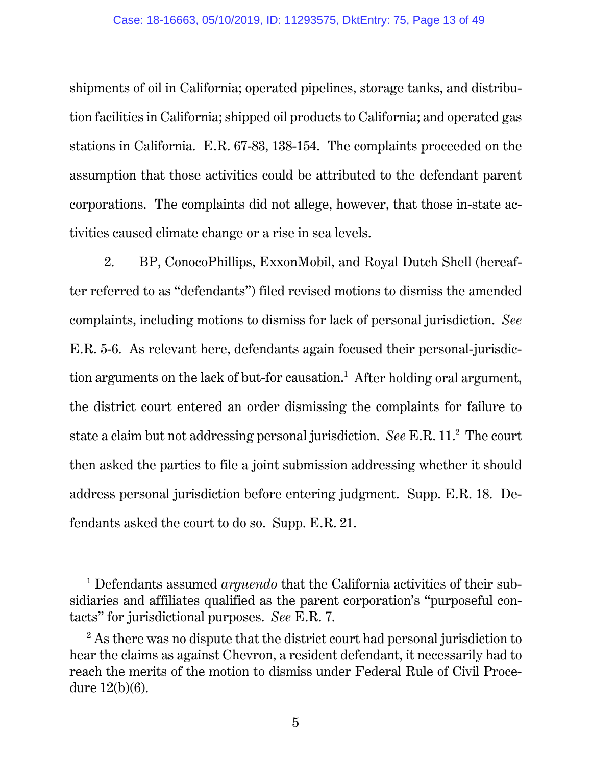shipments of oil in California; operated pipelines, storage tanks, and distribution facilities in California; shipped oil products to California; and operated gas stations in California. E.R. 67-83, 138-154. The complaints proceeded on the assumption that those activities could be attributed to the defendant parent corporations. The complaints did not allege, however, that those in-state activities caused climate change or a rise in sea levels.

2. BP, ConocoPhillips, ExxonMobil, and Royal Dutch Shell (hereafter referred to as "defendants") filed revised motions to dismiss the amended complaints, including motions to dismiss for lack of personal jurisdiction. *See* E.R. 5-6. As relevant here, defendants again focused their personal-jurisdiction arguments on the lack of but-for causation.<sup>1</sup> After holding oral argument, the district court entered an order dismissing the complaints for failure to state a claim but not addressing personal jurisdiction. *See* E.R. 11.2 The court then asked the parties to file a joint submission addressing whether it should address personal jurisdiction before entering judgment. Supp. E.R. 18. Defendants asked the court to do so. Supp. E.R. 21.

 $\overline{\phantom{0}1}$  Defendants assumed *arguendo* that the California activities of their subsidiaries and affiliates qualified as the parent corporation's "purposeful contacts" for jurisdictional purposes. *See* E.R. 7.

 $2^2$  As there was no dispute that the district court had personal jurisdiction to hear the claims as against Chevron, a resident defendant, it necessarily had to reach the merits of the motion to dismiss under Federal Rule of Civil Procedure 12(b)(6).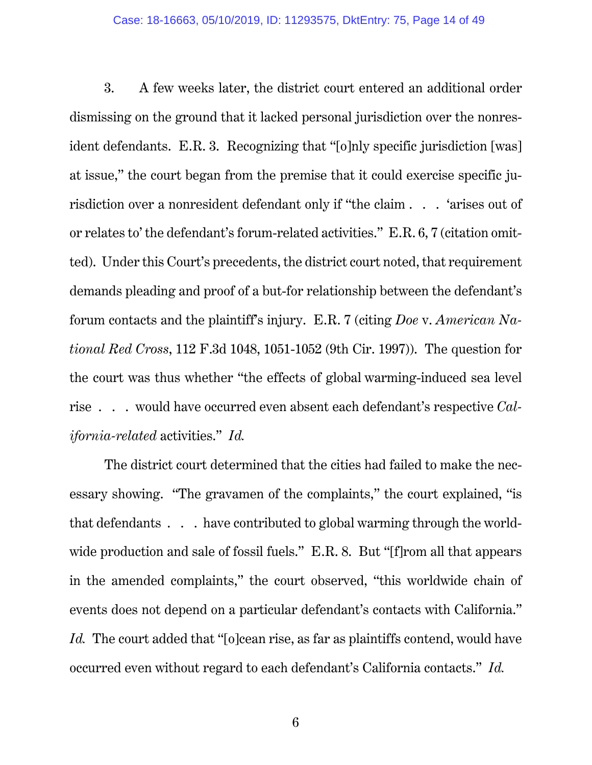3. A few weeks later, the district court entered an additional order dismissing on the ground that it lacked personal jurisdiction over the nonresident defendants. E.R. 3. Recognizing that "[o]nly specific jurisdiction [was] at issue," the court began from the premise that it could exercise specific jurisdiction over a nonresident defendant only if "the claim . . . 'arises out of or relates to' the defendant's forum-related activities." E.R. 6, 7 (citation omitted). Under this Court's precedents, the district court noted, that requirement demands pleading and proof of a but-for relationship between the defendant's forum contacts and the plaintiff's injury. E.R. 7 (citing *Doe* v. *American National Red Cross*, 112 F.3d 1048, 1051-1052 (9th Cir. 1997)). The question for the court was thus whether "the effects of global warming-induced sea level rise . . . would have occurred even absent each defendant's respective *California-related* activities." *Id.*

The district court determined that the cities had failed to make the necessary showing. "The gravamen of the complaints," the court explained, "is that defendants . . . have contributed to global warming through the worldwide production and sale of fossil fuels." E.R. 8. But "[f]rom all that appears in the amended complaints," the court observed, "this worldwide chain of events does not depend on a particular defendant's contacts with California." Id. The court added that "[o]cean rise, as far as plaintiffs contend, would have occurred even without regard to each defendant's California contacts." *Id.*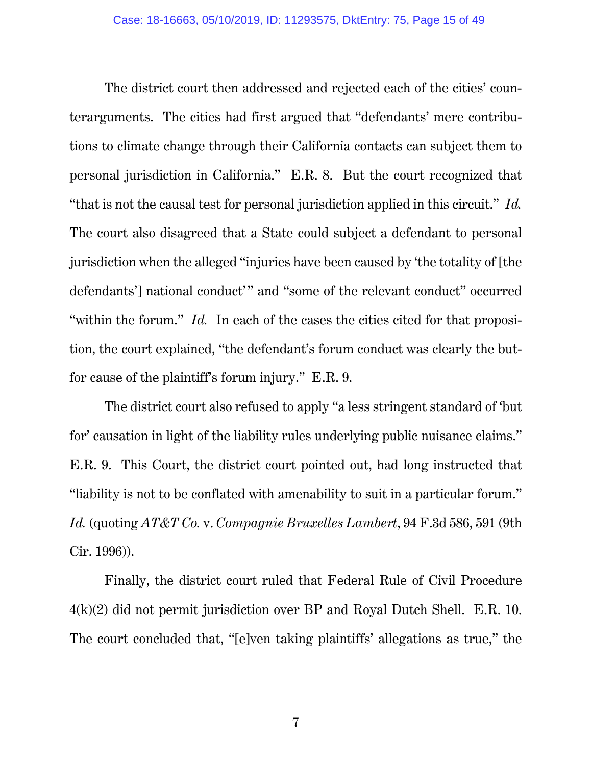The district court then addressed and rejected each of the cities' counterarguments. The cities had first argued that "defendants' mere contributions to climate change through their California contacts can subject them to personal jurisdiction in California." E.R. 8. But the court recognized that "that is not the causal test for personal jurisdiction applied in this circuit." *Id.* The court also disagreed that a State could subject a defendant to personal jurisdiction when the alleged "injuries have been caused by 'the totality of [the defendants'] national conduct'" and "some of the relevant conduct" occurred "within the forum." *Id.* In each of the cases the cities cited for that proposition, the court explained, "the defendant's forum conduct was clearly the butfor cause of the plaintiff's forum injury." E.R. 9.

The district court also refused to apply "a less stringent standard of 'but for' causation in light of the liability rules underlying public nuisance claims." E.R. 9. This Court, the district court pointed out, had long instructed that "liability is not to be conflated with amenability to suit in a particular forum." *Id.* (quoting *AT&T Co.* v. *Compagnie Bruxelles Lambert*, 94 F.3d 586, 591 (9th Cir. 1996)).

Finally, the district court ruled that Federal Rule of Civil Procedure 4(k)(2) did not permit jurisdiction over BP and Royal Dutch Shell. E.R. 10. The court concluded that, "[e]ven taking plaintiffs' allegations as true," the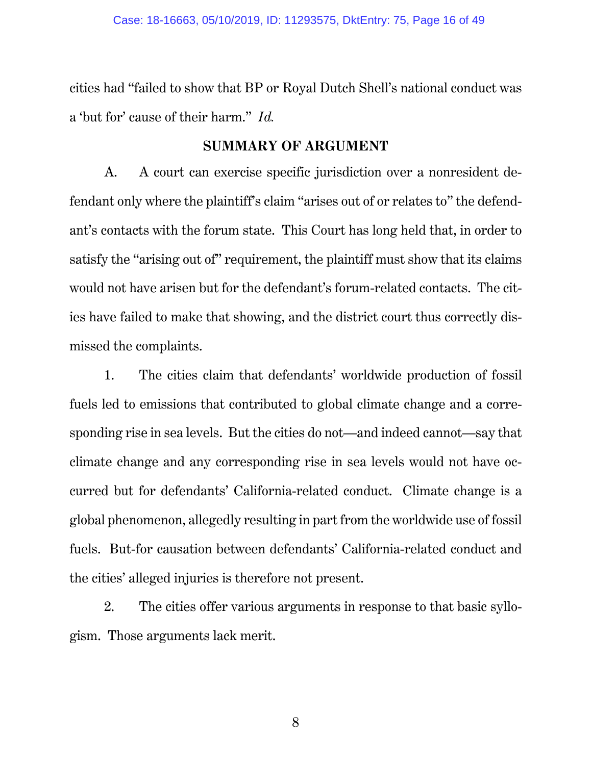cities had "failed to show that BP or Royal Dutch Shell's national conduct was a 'but for' cause of their harm." *Id.*

### **SUMMARY OF ARGUMENT**

A. A court can exercise specific jurisdiction over a nonresident defendant only where the plaintiff's claim "arises out of or relates to" the defendant's contacts with the forum state. This Court has long held that, in order to satisfy the "arising out of" requirement, the plaintiff must show that its claims would not have arisen but for the defendant's forum-related contacts. The cities have failed to make that showing, and the district court thus correctly dismissed the complaints.

1. The cities claim that defendants' worldwide production of fossil fuels led to emissions that contributed to global climate change and a corresponding rise in sea levels. But the cities do not—and indeed cannot—say that climate change and any corresponding rise in sea levels would not have occurred but for defendants' California-related conduct. Climate change is a global phenomenon, allegedly resulting in part from the worldwide use of fossil fuels. But-for causation between defendants' California-related conduct and the cities' alleged injuries is therefore not present.

2. The cities offer various arguments in response to that basic syllogism. Those arguments lack merit.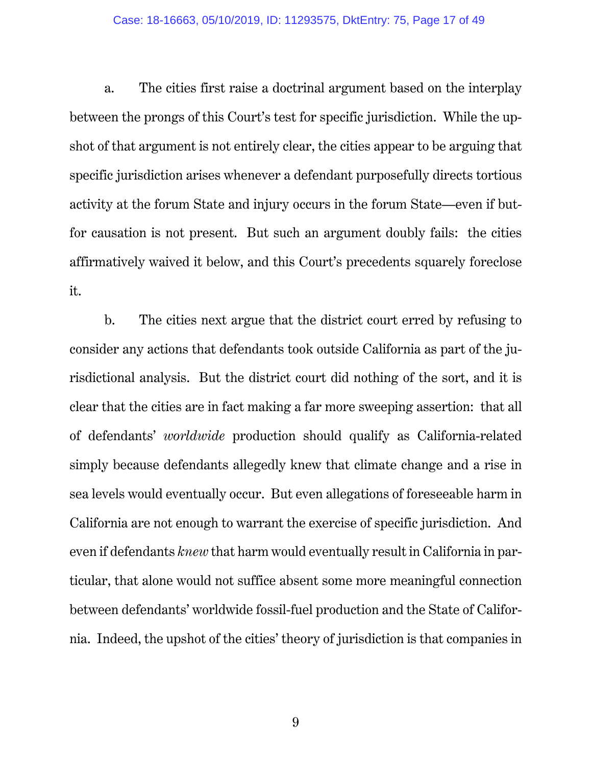#### Case: 18-16663, 05/10/2019, ID: 11293575, DktEntry: 75, Page 17 of 49

a. The cities first raise a doctrinal argument based on the interplay between the prongs of this Court's test for specific jurisdiction. While the upshot of that argument is not entirely clear, the cities appear to be arguing that specific jurisdiction arises whenever a defendant purposefully directs tortious activity at the forum State and injury occurs in the forum State—even if butfor causation is not present. But such an argument doubly fails: the cities affirmatively waived it below, and this Court's precedents squarely foreclose it.

b. The cities next argue that the district court erred by refusing to consider any actions that defendants took outside California as part of the jurisdictional analysis. But the district court did nothing of the sort, and it is clear that the cities are in fact making a far more sweeping assertion: that all of defendants' *worldwide* production should qualify as California-related simply because defendants allegedly knew that climate change and a rise in sea levels would eventually occur. But even allegations of foreseeable harm in California are not enough to warrant the exercise of specific jurisdiction. And even if defendants *knew* that harm would eventually result in California in particular, that alone would not suffice absent some more meaningful connection between defendants' worldwide fossil-fuel production and the State of California. Indeed, the upshot of the cities' theory of jurisdiction is that companies in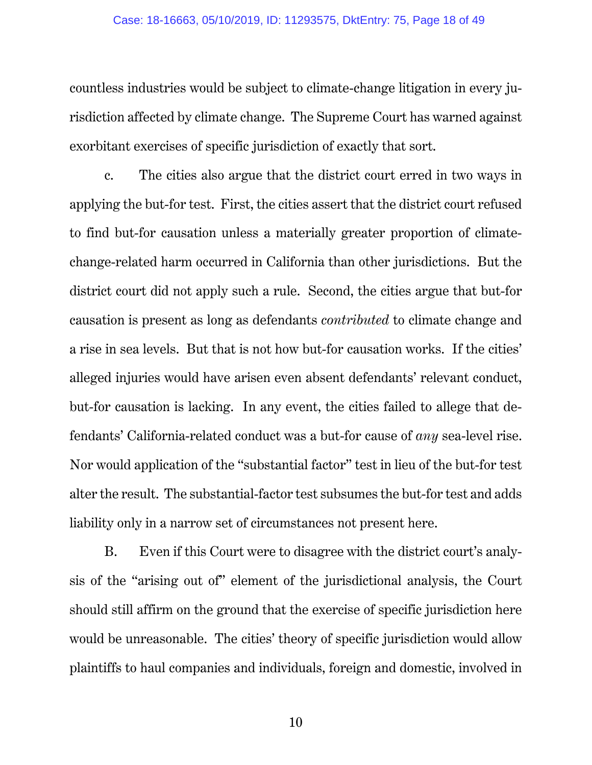#### Case: 18-16663, 05/10/2019, ID: 11293575, DktEntry: 75, Page 18 of 49

countless industries would be subject to climate-change litigation in every jurisdiction affected by climate change. The Supreme Court has warned against exorbitant exercises of specific jurisdiction of exactly that sort.

c. The cities also argue that the district court erred in two ways in applying the but-for test. First, the cities assert that the district court refused to find but-for causation unless a materially greater proportion of climatechange-related harm occurred in California than other jurisdictions. But the district court did not apply such a rule. Second, the cities argue that but-for causation is present as long as defendants *contributed* to climate change and a rise in sea levels. But that is not how but-for causation works. If the cities' alleged injuries would have arisen even absent defendants' relevant conduct, but-for causation is lacking. In any event, the cities failed to allege that defendants' California-related conduct was a but-for cause of *any* sea-level rise. Nor would application of the "substantial factor" test in lieu of the but-for test alter the result. The substantial-factor test subsumes the but-for test and adds liability only in a narrow set of circumstances not present here.

B. Even if this Court were to disagree with the district court's analysis of the "arising out of" element of the jurisdictional analysis, the Court should still affirm on the ground that the exercise of specific jurisdiction here would be unreasonable. The cities' theory of specific jurisdiction would allow plaintiffs to haul companies and individuals, foreign and domestic, involved in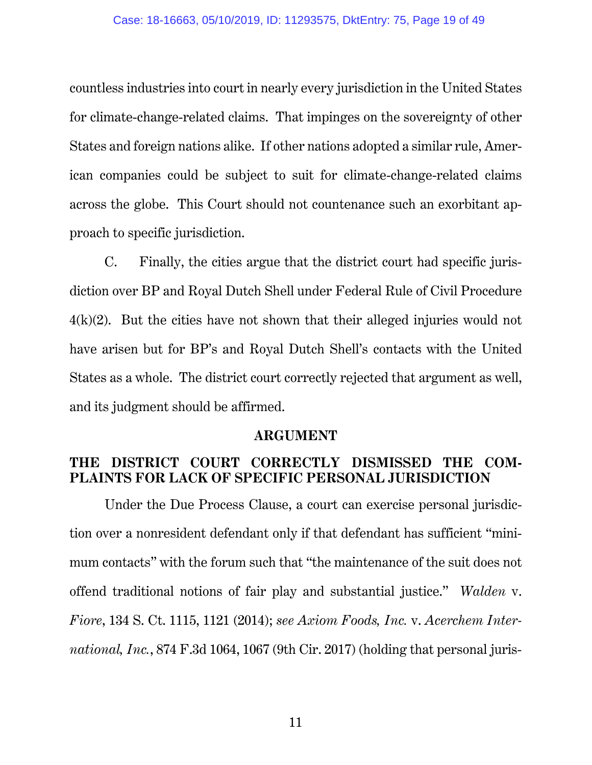countless industries into court in nearly every jurisdiction in the United States for climate-change-related claims. That impinges on the sovereignty of other States and foreign nations alike. If other nations adopted a similar rule, American companies could be subject to suit for climate-change-related claims across the globe. This Court should not countenance such an exorbitant approach to specific jurisdiction.

C. Finally, the cities argue that the district court had specific jurisdiction over BP and Royal Dutch Shell under Federal Rule of Civil Procedure  $4(k)(2)$ . But the cities have not shown that their alleged injuries would not have arisen but for BP's and Royal Dutch Shell's contacts with the United States as a whole. The district court correctly rejected that argument as well, and its judgment should be affirmed.

### **ARGUMENT**

## **THE DISTRICT COURT CORRECTLY DISMISSED THE COM-PLAINTS FOR LACK OF SPECIFIC PERSONAL JURISDICTION**

Under the Due Process Clause, a court can exercise personal jurisdiction over a nonresident defendant only if that defendant has sufficient "minimum contacts" with the forum such that "the maintenance of the suit does not offend traditional notions of fair play and substantial justice." *Walden* v. *Fiore*, 134 S. Ct. 1115, 1121 (2014); *see Axiom Foods, Inc.* v. *Acerchem International, Inc.*, 874 F.3d 1064, 1067 (9th Cir. 2017) (holding that personal juris-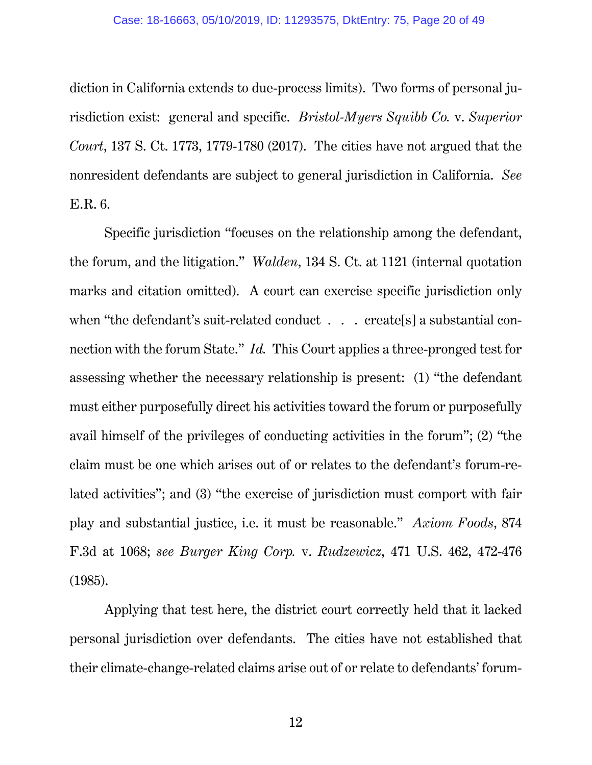diction in California extends to due-process limits). Two forms of personal jurisdiction exist: general and specific. *Bristol-Myers Squibb Co.* v. *Superior Court*, 137 S. Ct. 1773, 1779-1780 (2017). The cities have not argued that the nonresident defendants are subject to general jurisdiction in California. *See*  E.R. 6.

Specific jurisdiction "focuses on the relationship among the defendant, the forum, and the litigation." *Walden*, 134 S. Ct. at 1121 (internal quotation marks and citation omitted). A court can exercise specific jurisdiction only when "the defendant's suit-related conduct . . . create[s] a substantial connection with the forum State." *Id.* This Court applies a three-pronged test for assessing whether the necessary relationship is present: (1) "the defendant must either purposefully direct his activities toward the forum or purposefully avail himself of the privileges of conducting activities in the forum"; (2) "the claim must be one which arises out of or relates to the defendant's forum-related activities"; and (3) "the exercise of jurisdiction must comport with fair play and substantial justice, i.e. it must be reasonable." *Axiom Foods*, 874 F.3d at 1068; *see Burger King Corp.* v. *Rudzewicz*, 471 U.S. 462, 472-476 (1985).

Applying that test here, the district court correctly held that it lacked personal jurisdiction over defendants. The cities have not established that their climate-change-related claims arise out of or relate to defendants' forum-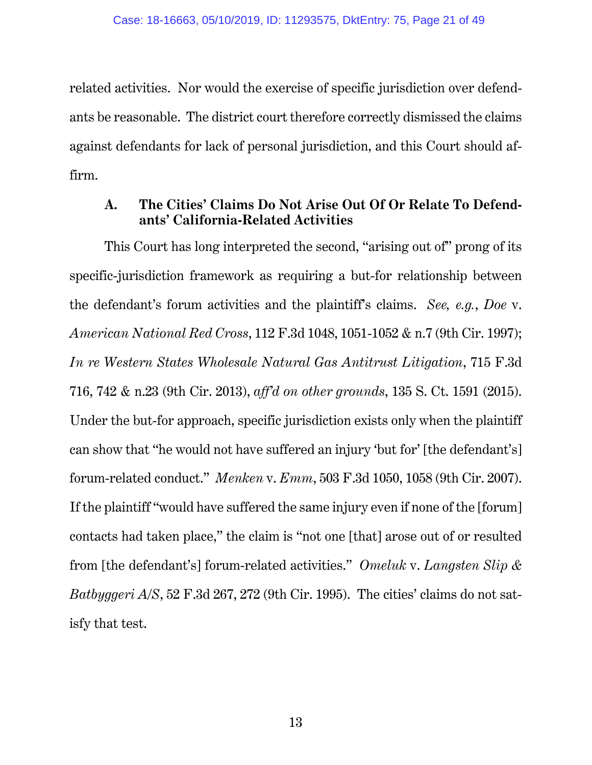related activities. Nor would the exercise of specific jurisdiction over defendants be reasonable. The district court therefore correctly dismissed the claims against defendants for lack of personal jurisdiction, and this Court should affirm.

## **A. The Cities' Claims Do Not Arise Out Of Or Relate To Defendants' California-Related Activities**

This Court has long interpreted the second, "arising out of" prong of its specific-jurisdiction framework as requiring a but-for relationship between the defendant's forum activities and the plaintiff's claims. *See, e.g.*, *Doe* v. *American National Red Cross*, 112 F.3d 1048, 1051-1052 & n.7 (9th Cir. 1997); *In re Western States Wholesale Natural Gas Antitrust Litigation*, 715 F.3d 716, 742 & n.23 (9th Cir. 2013), *aff'd on other grounds*, 135 S. Ct. 1591 (2015). Under the but-for approach, specific jurisdiction exists only when the plaintiff can show that "he would not have suffered an injury 'but for' [the defendant's] forum-related conduct." *Menken* v. *Emm*, 503 F.3d 1050, 1058 (9th Cir. 2007). If the plaintiff "would have suffered the same injury even if none of the [forum] contacts had taken place," the claim is "not one [that] arose out of or resulted from [the defendant's] forum-related activities." *Omeluk* v. *Langsten Slip & Batbyggeri A/S*, 52 F.3d 267, 272 (9th Cir. 1995). The cities' claims do not satisfy that test.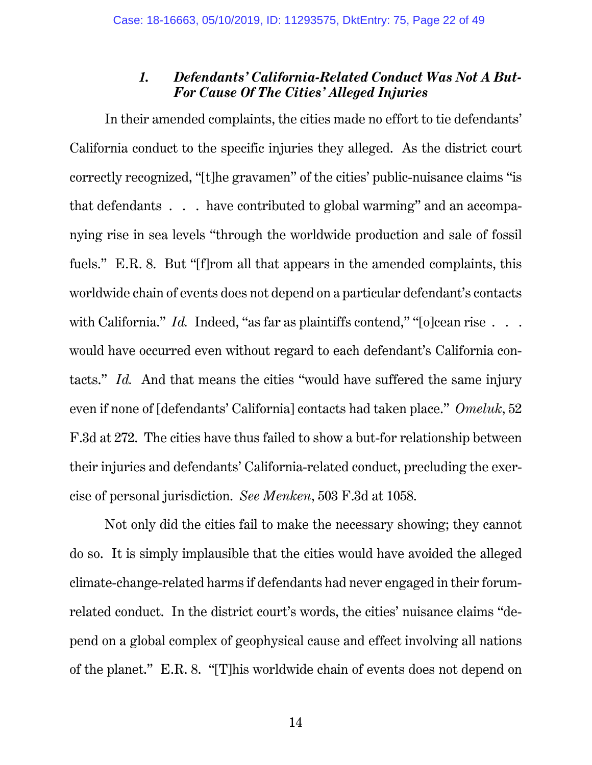### *1. Defendants' California-Related Conduct Was Not A But-For Cause Of The Cities' Alleged Injuries*

In their amended complaints, the cities made no effort to tie defendants' California conduct to the specific injuries they alleged. As the district court correctly recognized, "[t]he gravamen" of the cities' public-nuisance claims "is that defendants . . . have contributed to global warming" and an accompanying rise in sea levels "through the worldwide production and sale of fossil fuels." E.R. 8. But "[f]rom all that appears in the amended complaints, this worldwide chain of events does not depend on a particular defendant's contacts with California." *Id.* Indeed, "as far as plaintiffs contend," "[o]cean rise . . . would have occurred even without regard to each defendant's California contacts." *Id.* And that means the cities "would have suffered the same injury even if none of [defendants' California] contacts had taken place." *Omeluk*, 52 F.3d at 272. The cities have thus failed to show a but-for relationship between their injuries and defendants' California-related conduct, precluding the exercise of personal jurisdiction. *See Menken*, 503 F.3d at 1058.

Not only did the cities fail to make the necessary showing; they cannot do so. It is simply implausible that the cities would have avoided the alleged climate-change-related harms if defendants had never engaged in their forumrelated conduct. In the district court's words, the cities' nuisance claims "depend on a global complex of geophysical cause and effect involving all nations of the planet." E.R. 8. "[T]his worldwide chain of events does not depend on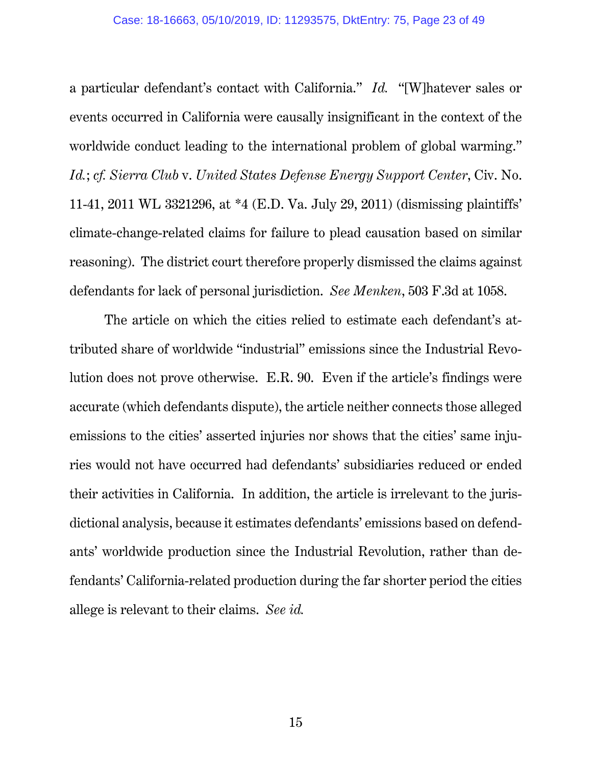a particular defendant's contact with California." *Id.* "[W]hatever sales or events occurred in California were causally insignificant in the context of the worldwide conduct leading to the international problem of global warming." *Id.*; *cf. Sierra Club* v. *United States Defense Energy Support Center*, Civ. No. 11-41, 2011 WL 3321296, at \*4 (E.D. Va. July 29, 2011) (dismissing plaintiffs' climate-change-related claims for failure to plead causation based on similar reasoning). The district court therefore properly dismissed the claims against defendants for lack of personal jurisdiction. *See Menken*, 503 F.3d at 1058.

The article on which the cities relied to estimate each defendant's attributed share of worldwide "industrial" emissions since the Industrial Revolution does not prove otherwise. E.R. 90. Even if the article's findings were accurate (which defendants dispute), the article neither connects those alleged emissions to the cities' asserted injuries nor shows that the cities' same injuries would not have occurred had defendants' subsidiaries reduced or ended their activities in California. In addition, the article is irrelevant to the jurisdictional analysis, because it estimates defendants' emissions based on defendants' worldwide production since the Industrial Revolution, rather than defendants' California-related production during the far shorter period the cities allege is relevant to their claims. *See id.*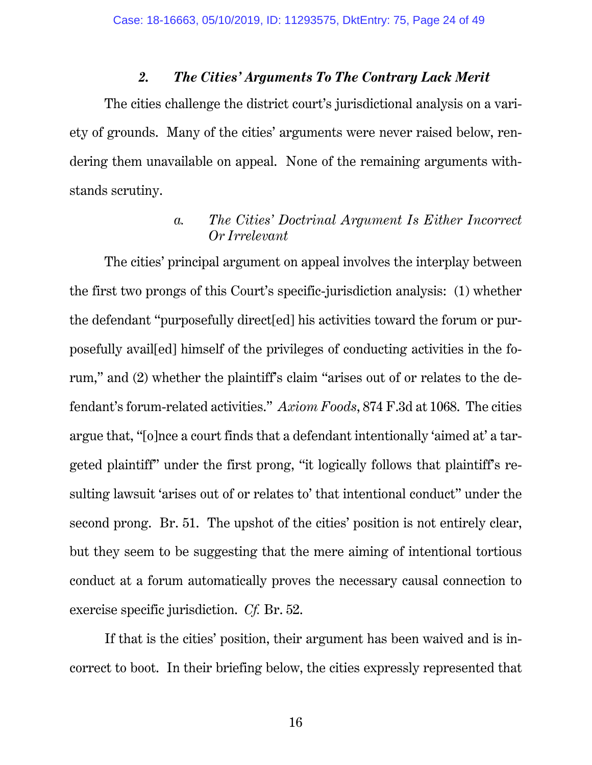### *2. The Cities' Arguments To The Contrary Lack Merit*

The cities challenge the district court's jurisdictional analysis on a variety of grounds. Many of the cities' arguments were never raised below, rendering them unavailable on appeal. None of the remaining arguments withstands scrutiny.

# *a. The Cities' Doctrinal Argument Is Either Incorrect Or Irrelevant*

The cities' principal argument on appeal involves the interplay between the first two prongs of this Court's specific-jurisdiction analysis: (1) whether the defendant "purposefully direct[ed] his activities toward the forum or purposefully avail[ed] himself of the privileges of conducting activities in the forum," and (2) whether the plaintiff's claim "arises out of or relates to the defendant's forum-related activities." *Axiom Foods*, 874 F.3d at 1068. The cities argue that, "[o]nce a court finds that a defendant intentionally 'aimed at' a targeted plaintiff" under the first prong, "it logically follows that plaintiff's resulting lawsuit 'arises out of or relates to' that intentional conduct" under the second prong. Br. 51. The upshot of the cities' position is not entirely clear, but they seem to be suggesting that the mere aiming of intentional tortious conduct at a forum automatically proves the necessary causal connection to exercise specific jurisdiction. *Cf.* Br. 52.

If that is the cities' position, their argument has been waived and is incorrect to boot. In their briefing below, the cities expressly represented that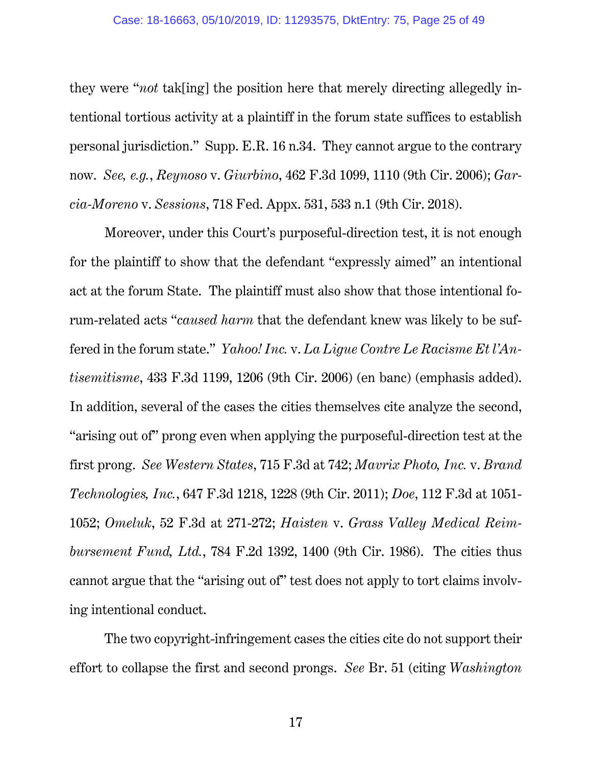they were "*not* tak[ing] the position here that merely directing allegedly intentional tortious activity at a plaintiff in the forum state suffices to establish personal jurisdiction." Supp. E.R. 16 n.34. They cannot argue to the contrary now. *See, e.g.*, *Reynoso* v. *Giurbino*, 462 F.3d 1099, 1110 (9th Cir. 2006); *Garcia-Moreno* v. *Sessions*, 718 Fed. Appx. 531, 533 n.1 (9th Cir. 2018).

Moreover, under this Court's purposeful-direction test, it is not enough for the plaintiff to show that the defendant "expressly aimed" an intentional act at the forum State. The plaintiff must also show that those intentional forum-related acts "*caused harm* that the defendant knew was likely to be suffered in the forum state." *Yahoo! Inc.* v. *La Ligue Contre Le Racisme Et l'Antisemitisme*, 433 F.3d 1199, 1206 (9th Cir. 2006) (en banc) (emphasis added). In addition, several of the cases the cities themselves cite analyze the second, "arising out of" prong even when applying the purposeful-direction test at the first prong. *See Western States*, 715 F.3d at 742; *Mavrix Photo, Inc.* v. *Brand Technologies, Inc.*, 647 F.3d 1218, 1228 (9th Cir. 2011); *Doe*, 112 F.3d at 1051- 1052; *Omeluk*, 52 F.3d at 271-272; *Haisten* v. *Grass Valley Medical Reimbursement Fund, Ltd.*, 784 F.2d 1392, 1400 (9th Cir. 1986). The cities thus cannot argue that the "arising out of" test does not apply to tort claims involving intentional conduct.

The two copyright-infringement cases the cities cite do not support their effort to collapse the first and second prongs. *See* Br. 51 (citing *Washington*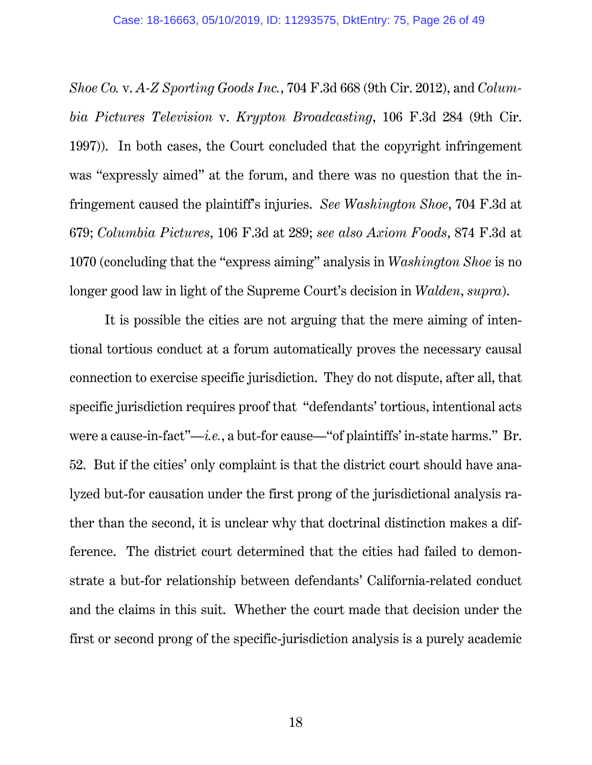*Shoe Co.* v. *A-Z Sporting Goods Inc.*, 704 F.3d 668 (9th Cir. 2012), and *Columbia Pictures Television* v. *Krypton Broadcasting*, 106 F.3d 284 (9th Cir. 1997)). In both cases, the Court concluded that the copyright infringement was "expressly aimed" at the forum, and there was no question that the infringement caused the plaintiff's injuries. *See Washington Shoe*, 704 F.3d at 679; *Columbia Pictures*, 106 F.3d at 289; *see also Axiom Foods*, 874 F.3d at 1070 (concluding that the "express aiming" analysis in *Washington Shoe* is no longer good law in light of the Supreme Court's decision in *Walden*, *supra*).

It is possible the cities are not arguing that the mere aiming of intentional tortious conduct at a forum automatically proves the necessary causal connection to exercise specific jurisdiction. They do not dispute, after all, that specific jurisdiction requires proof that "defendants' tortious, intentional acts were a cause-in-fact"—*i.e.*, a but-for cause—"of plaintiffs' in-state harms." Br. 52. But if the cities' only complaint is that the district court should have analyzed but-for causation under the first prong of the jurisdictional analysis rather than the second, it is unclear why that doctrinal distinction makes a difference. The district court determined that the cities had failed to demonstrate a but-for relationship between defendants' California-related conduct and the claims in this suit. Whether the court made that decision under the first or second prong of the specific-jurisdiction analysis is a purely academic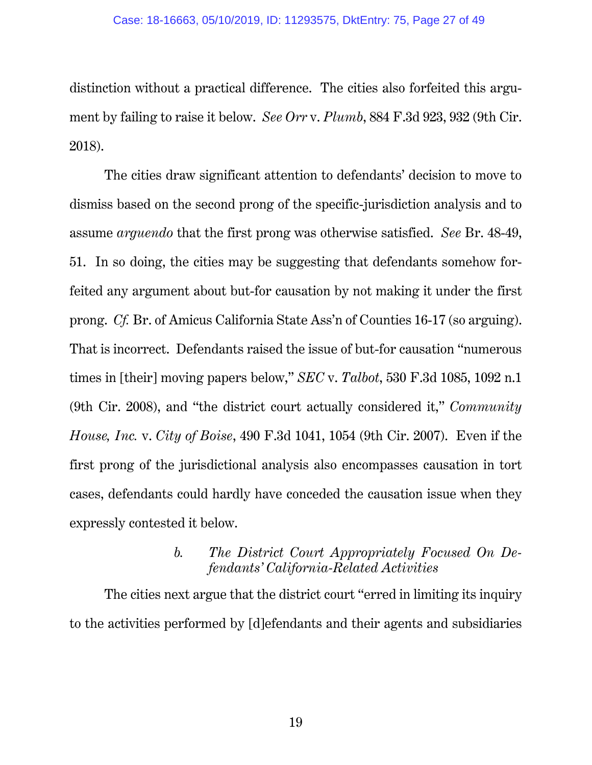distinction without a practical difference. The cities also forfeited this argument by failing to raise it below. *See Orr* v. *Plumb*, 884 F.3d 923, 932 (9th Cir. 2018).

The cities draw significant attention to defendants' decision to move to dismiss based on the second prong of the specific-jurisdiction analysis and to assume *arguendo* that the first prong was otherwise satisfied. *See* Br. 48-49, 51. In so doing, the cities may be suggesting that defendants somehow forfeited any argument about but-for causation by not making it under the first prong. *Cf.* Br. of Amicus California State Ass'n of Counties 16-17 (so arguing). That is incorrect. Defendants raised the issue of but-for causation "numerous times in [their] moving papers below," *SEC* v. *Talbot*, 530 F.3d 1085, 1092 n.1 (9th Cir. 2008), and "the district court actually considered it," *Community House, Inc.* v. *City of Boise*, 490 F.3d 1041, 1054 (9th Cir. 2007). Even if the first prong of the jurisdictional analysis also encompasses causation in tort cases, defendants could hardly have conceded the causation issue when they expressly contested it below.

## *b. The District Court Appropriately Focused On Defendants' California-Related Activities*

The cities next argue that the district court "erred in limiting its inquiry to the activities performed by [d]efendants and their agents and subsidiaries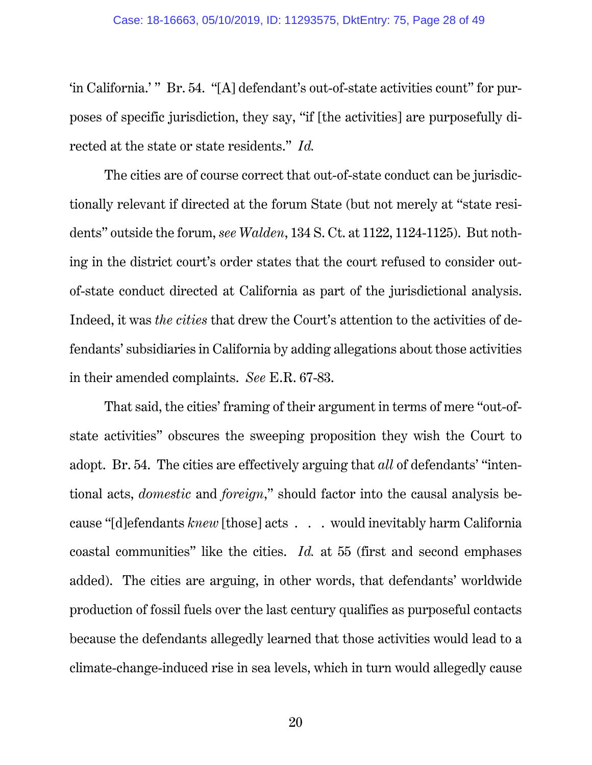'in California.' " Br. 54. "[A] defendant's out-of-state activities count" for purposes of specific jurisdiction, they say, "if [the activities] are purposefully directed at the state or state residents." *Id.*

The cities are of course correct that out-of-state conduct can be jurisdictionally relevant if directed at the forum State (but not merely at "state residents" outside the forum, *see Walden*, 134 S. Ct. at 1122, 1124-1125). But nothing in the district court's order states that the court refused to consider outof-state conduct directed at California as part of the jurisdictional analysis. Indeed, it was *the cities* that drew the Court's attention to the activities of defendants' subsidiaries in California by adding allegations about those activities in their amended complaints. *See* E.R. 67-83.

That said, the cities' framing of their argument in terms of mere "out-ofstate activities" obscures the sweeping proposition they wish the Court to adopt. Br. 54. The cities are effectively arguing that *all* of defendants' "intentional acts, *domestic* and *foreign*," should factor into the causal analysis because "[d]efendants *knew* [those] acts . . . would inevitably harm California coastal communities" like the cities. *Id.* at 55 (first and second emphases added). The cities are arguing, in other words, that defendants' worldwide production of fossil fuels over the last century qualifies as purposeful contacts because the defendants allegedly learned that those activities would lead to a climate-change-induced rise in sea levels, which in turn would allegedly cause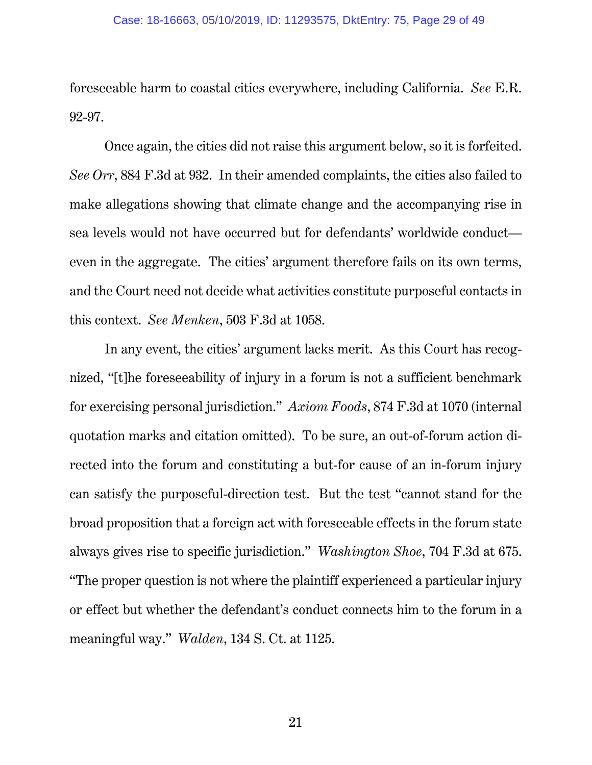foreseeable harm to coastal cities everywhere, including California. *See* E.R. 92-97.

Once again, the cities did not raise this argument below, so it is forfeited. *See Orr*, 884 F.3d at 932. In their amended complaints, the cities also failed to make allegations showing that climate change and the accompanying rise in sea levels would not have occurred but for defendants' worldwide conduct even in the aggregate. The cities' argument therefore fails on its own terms, and the Court need not decide what activities constitute purposeful contacts in this context. *See Menken*, 503 F.3d at 1058.

In any event, the cities' argument lacks merit. As this Court has recognized, "[t]he foreseeability of injury in a forum is not a sufficient benchmark for exercising personal jurisdiction." *Axiom Foods*, 874 F.3d at 1070 (internal quotation marks and citation omitted). To be sure, an out-of-forum action directed into the forum and constituting a but-for cause of an in-forum injury can satisfy the purposeful-direction test. But the test "cannot stand for the broad proposition that a foreign act with foreseeable effects in the forum state always gives rise to specific jurisdiction." *Washington Shoe*, 704 F.3d at 675. "The proper question is not where the plaintiff experienced a particular injury or effect but whether the defendant's conduct connects him to the forum in a meaningful way." *Walden*, 134 S. Ct. at 1125.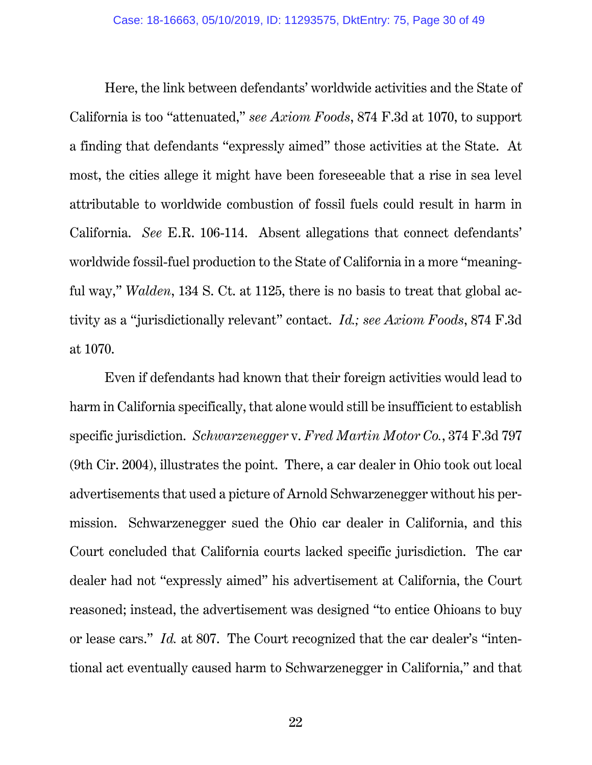Here, the link between defendants' worldwide activities and the State of California is too "attenuated," *see Axiom Foods*, 874 F.3d at 1070, to support a finding that defendants "expressly aimed" those activities at the State. At most, the cities allege it might have been foreseeable that a rise in sea level attributable to worldwide combustion of fossil fuels could result in harm in California. *See* E.R. 106-114. Absent allegations that connect defendants' worldwide fossil-fuel production to the State of California in a more "meaningful way," *Walden*, 134 S. Ct. at 1125, there is no basis to treat that global activity as a "jurisdictionally relevant" contact. *Id.; see Axiom Foods*, 874 F.3d at 1070.

Even if defendants had known that their foreign activities would lead to harm in California specifically, that alone would still be insufficient to establish specific jurisdiction. *Schwarzenegger* v. *Fred Martin Motor Co.*, 374 F.3d 797 (9th Cir. 2004), illustrates the point. There, a car dealer in Ohio took out local advertisements that used a picture of Arnold Schwarzenegger without his permission. Schwarzenegger sued the Ohio car dealer in California, and this Court concluded that California courts lacked specific jurisdiction. The car dealer had not "expressly aimed" his advertisement at California, the Court reasoned; instead, the advertisement was designed "to entice Ohioans to buy or lease cars." *Id.* at 807. The Court recognized that the car dealer's "intentional act eventually caused harm to Schwarzenegger in California," and that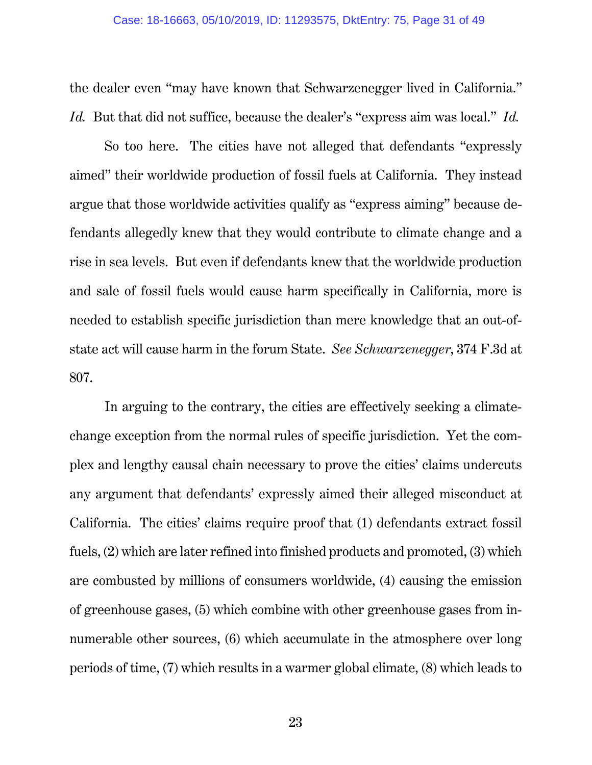the dealer even "may have known that Schwarzenegger lived in California." *Id.* But that did not suffice, because the dealer's "express aim was local." *Id.*

So too here. The cities have not alleged that defendants "expressly aimed" their worldwide production of fossil fuels at California. They instead argue that those worldwide activities qualify as "express aiming" because defendants allegedly knew that they would contribute to climate change and a rise in sea levels. But even if defendants knew that the worldwide production and sale of fossil fuels would cause harm specifically in California, more is needed to establish specific jurisdiction than mere knowledge that an out-ofstate act will cause harm in the forum State. *See Schwarzenegger*, 374 F.3d at 807.

In arguing to the contrary, the cities are effectively seeking a climatechange exception from the normal rules of specific jurisdiction. Yet the complex and lengthy causal chain necessary to prove the cities' claims undercuts any argument that defendants' expressly aimed their alleged misconduct at California. The cities' claims require proof that (1) defendants extract fossil fuels, (2) which are later refined into finished products and promoted, (3) which are combusted by millions of consumers worldwide, (4) causing the emission of greenhouse gases, (5) which combine with other greenhouse gases from innumerable other sources, (6) which accumulate in the atmosphere over long periods of time, (7) which results in a warmer global climate, (8) which leads to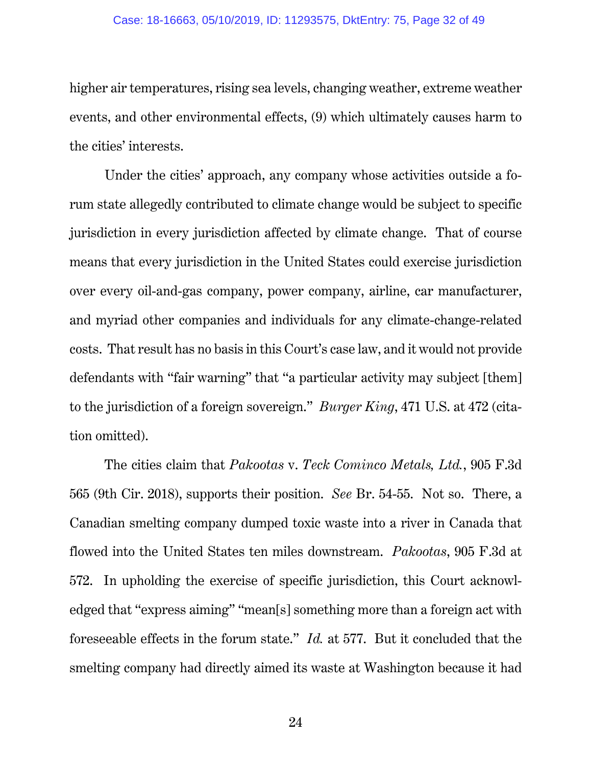higher air temperatures, rising sea levels, changing weather, extreme weather events, and other environmental effects, (9) which ultimately causes harm to the cities' interests.

Under the cities' approach, any company whose activities outside a forum state allegedly contributed to climate change would be subject to specific jurisdiction in every jurisdiction affected by climate change. That of course means that every jurisdiction in the United States could exercise jurisdiction over every oil-and-gas company, power company, airline, car manufacturer, and myriad other companies and individuals for any climate-change-related costs. That result has no basis in this Court's case law, and it would not provide defendants with "fair warning" that "a particular activity may subject [them] to the jurisdiction of a foreign sovereign." *Burger King*, 471 U.S. at 472 (citation omitted).

The cities claim that *Pakootas* v. *Teck Cominco Metals, Ltd.*, 905 F.3d 565 (9th Cir. 2018), supports their position. *See* Br. 54-55. Not so. There, a Canadian smelting company dumped toxic waste into a river in Canada that flowed into the United States ten miles downstream. *Pakootas*, 905 F.3d at 572. In upholding the exercise of specific jurisdiction, this Court acknowledged that "express aiming" "mean[s] something more than a foreign act with foreseeable effects in the forum state." *Id.* at 577. But it concluded that the smelting company had directly aimed its waste at Washington because it had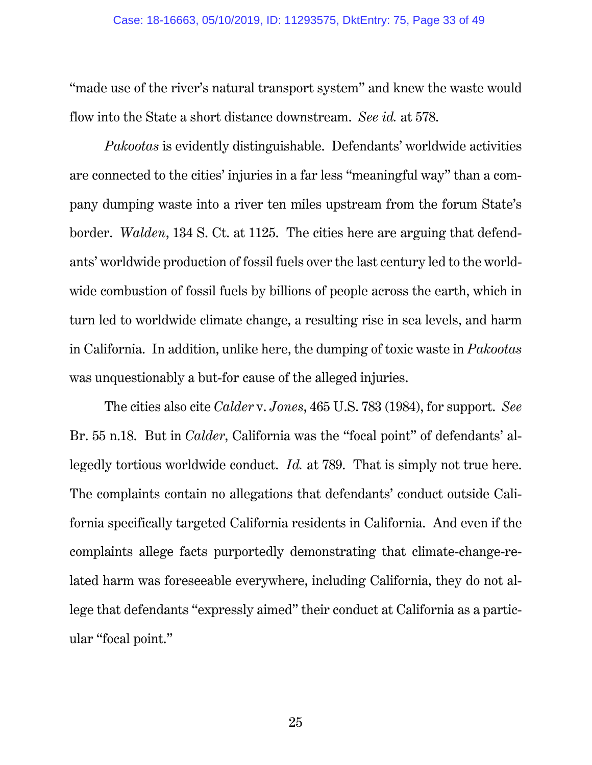"made use of the river's natural transport system" and knew the waste would flow into the State a short distance downstream. *See id.* at 578.

*Pakootas* is evidently distinguishable. Defendants' worldwide activities are connected to the cities' injuries in a far less "meaningful way" than a company dumping waste into a river ten miles upstream from the forum State's border. *Walden*, 134 S. Ct. at 1125. The cities here are arguing that defendants' worldwide production of fossil fuels over the last century led to the worldwide combustion of fossil fuels by billions of people across the earth, which in turn led to worldwide climate change, a resulting rise in sea levels, and harm in California. In addition, unlike here, the dumping of toxic waste in *Pakootas* was unquestionably a but-for cause of the alleged injuries.

The cities also cite *Calder* v. *Jones*, 465 U.S. 783 (1984), for support. *See* Br. 55 n.18. But in *Calder*, California was the "focal point" of defendants' allegedly tortious worldwide conduct. *Id.* at 789. That is simply not true here. The complaints contain no allegations that defendants' conduct outside California specifically targeted California residents in California. And even if the complaints allege facts purportedly demonstrating that climate-change-related harm was foreseeable everywhere, including California, they do not allege that defendants "expressly aimed" their conduct at California as a particular "focal point."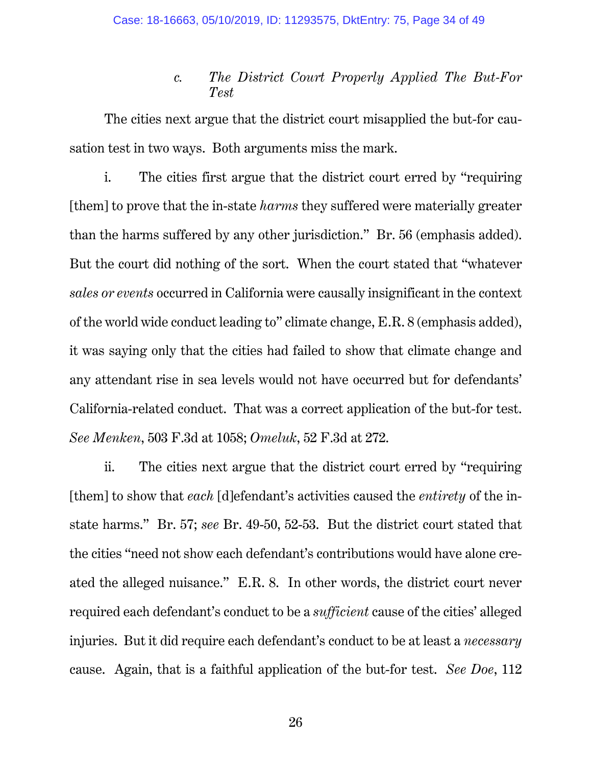## *c. The District Court Properly Applied The But-For Test*

The cities next argue that the district court misapplied the but-for causation test in two ways. Both arguments miss the mark.

i. The cities first argue that the district court erred by "requiring [them] to prove that the in-state *harms* they suffered were materially greater than the harms suffered by any other jurisdiction." Br. 56 (emphasis added). But the court did nothing of the sort. When the court stated that "whatever *sales or events* occurred in California were causally insignificant in the context of the world wide conduct leading to" climate change, E.R. 8 (emphasis added), it was saying only that the cities had failed to show that climate change and any attendant rise in sea levels would not have occurred but for defendants' California-related conduct. That was a correct application of the but-for test. *See Menken*, 503 F.3d at 1058; *Omeluk*, 52 F.3d at 272.

ii. The cities next argue that the district court erred by "requiring [them] to show that *each* [d]efendant's activities caused the *entirety* of the instate harms." Br. 57; *see* Br. 49-50, 52-53. But the district court stated that the cities "need not show each defendant's contributions would have alone created the alleged nuisance." E.R. 8. In other words, the district court never required each defendant's conduct to be a *sufficient* cause of the cities' alleged injuries. But it did require each defendant's conduct to be at least a *necessary*  cause. Again, that is a faithful application of the but-for test. *See Doe*, 112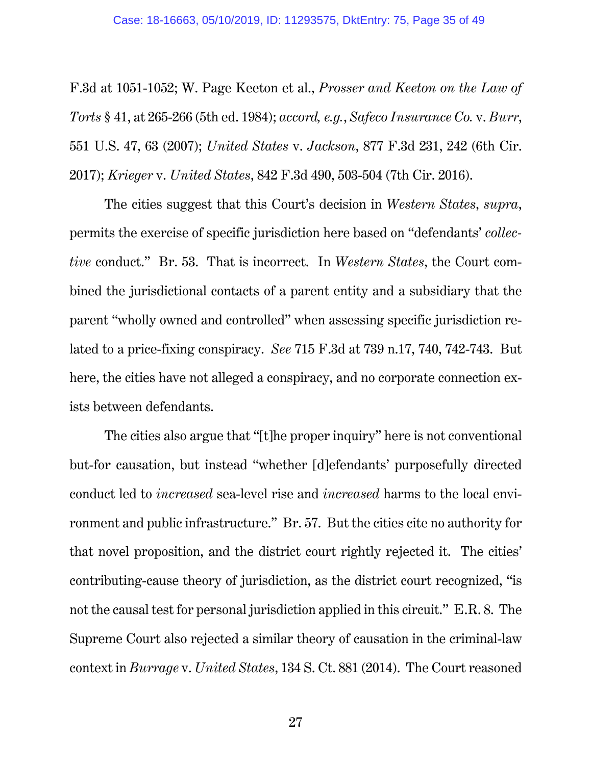F.3d at 1051-1052; W. Page Keeton et al., *Prosser and Keeton on the Law of Torts* § 41, at 265-266 (5th ed. 1984); *accord, e.g.*, *Safeco Insurance Co.* v. *Burr*, 551 U.S. 47, 63 (2007); *United States* v. *Jackson*, 877 F.3d 231, 242 (6th Cir. 2017); *Krieger* v. *United States*, 842 F.3d 490, 503-504 (7th Cir. 2016).

The cities suggest that this Court's decision in *Western States*, *supra*, permits the exercise of specific jurisdiction here based on "defendants' *collective* conduct." Br. 53. That is incorrect. In *Western States*, the Court combined the jurisdictional contacts of a parent entity and a subsidiary that the parent "wholly owned and controlled" when assessing specific jurisdiction related to a price-fixing conspiracy. *See* 715 F.3d at 739 n.17, 740, 742-743. But here, the cities have not alleged a conspiracy, and no corporate connection exists between defendants.

The cities also argue that "[t]he proper inquiry" here is not conventional but-for causation, but instead "whether [d]efendants' purposefully directed conduct led to *increased* sea-level rise and *increased* harms to the local environment and public infrastructure." Br. 57. But the cities cite no authority for that novel proposition, and the district court rightly rejected it. The cities' contributing-cause theory of jurisdiction, as the district court recognized, "is not the causal test for personal jurisdiction applied in this circuit." E.R. 8. The Supreme Court also rejected a similar theory of causation in the criminal-law context in *Burrage* v. *United States*, 134 S. Ct. 881 (2014). The Court reasoned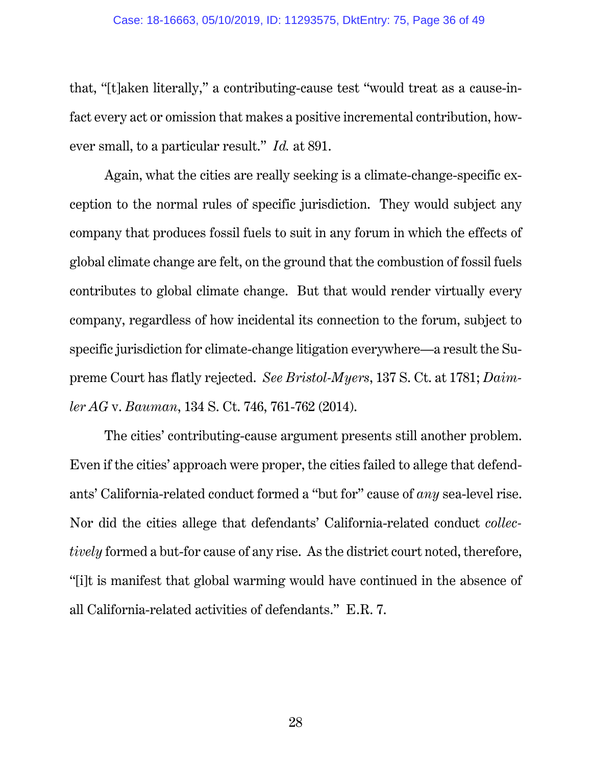that, "[t]aken literally," a contributing-cause test "would treat as a cause-infact every act or omission that makes a positive incremental contribution, however small, to a particular result." *Id.* at 891.

Again, what the cities are really seeking is a climate-change-specific exception to the normal rules of specific jurisdiction. They would subject any company that produces fossil fuels to suit in any forum in which the effects of global climate change are felt, on the ground that the combustion of fossil fuels contributes to global climate change. But that would render virtually every company, regardless of how incidental its connection to the forum, subject to specific jurisdiction for climate-change litigation everywhere—a result the Supreme Court has flatly rejected. *See Bristol-Myers*, 137 S. Ct. at 1781; *Daimler AG* v. *Bauman*, 134 S. Ct. 746, 761-762 (2014).

The cities' contributing-cause argument presents still another problem. Even if the cities' approach were proper, the cities failed to allege that defendants' California-related conduct formed a "but for" cause of *any* sea-level rise. Nor did the cities allege that defendants' California-related conduct *collectively* formed a but-for cause of any rise. As the district court noted, therefore, "[i]t is manifest that global warming would have continued in the absence of all California-related activities of defendants." E.R. 7.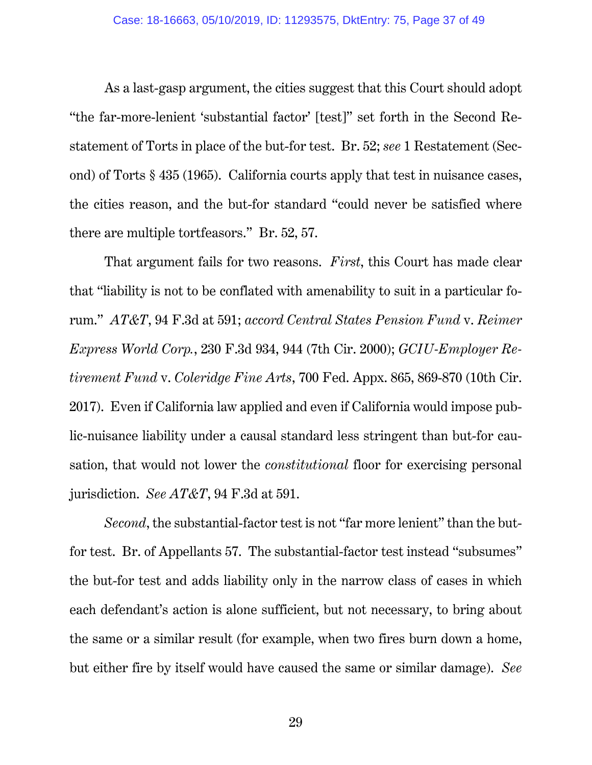As a last-gasp argument, the cities suggest that this Court should adopt "the far-more-lenient 'substantial factor' [test]" set forth in the Second Restatement of Torts in place of the but-for test. Br. 52; *see* 1 Restatement (Second) of Torts § 435 (1965). California courts apply that test in nuisance cases, the cities reason, and the but-for standard "could never be satisfied where there are multiple tortfeasors." Br. 52, 57.

That argument fails for two reasons. *First*, this Court has made clear that "liability is not to be conflated with amenability to suit in a particular forum." *AT&T*, 94 F.3d at 591; *accord Central States Pension Fund* v. *Reimer Express World Corp.*, 230 F.3d 934, 944 (7th Cir. 2000); *GCIU-Employer Retirement Fund* v. *Coleridge Fine Arts*, 700 Fed. Appx. 865, 869-870 (10th Cir. 2017). Even if California law applied and even if California would impose public-nuisance liability under a causal standard less stringent than but-for causation, that would not lower the *constitutional* floor for exercising personal jurisdiction. *See AT&T*, 94 F.3d at 591.

*Second*, the substantial-factor test is not "far more lenient" than the butfor test. Br. of Appellants 57. The substantial-factor test instead "subsumes" the but-for test and adds liability only in the narrow class of cases in which each defendant's action is alone sufficient, but not necessary, to bring about the same or a similar result (for example, when two fires burn down a home, but either fire by itself would have caused the same or similar damage). *See*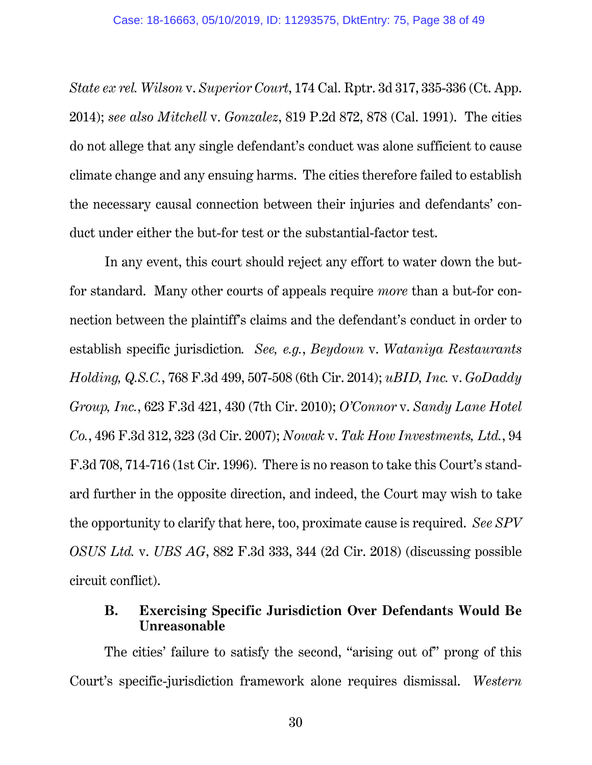*State ex rel. Wilson* v. *Superior Court*, 174 Cal. Rptr. 3d 317, 335-336 (Ct. App. 2014); *see also Mitchell* v. *Gonzalez*, 819 P.2d 872, 878 (Cal. 1991). The cities do not allege that any single defendant's conduct was alone sufficient to cause climate change and any ensuing harms. The cities therefore failed to establish the necessary causal connection between their injuries and defendants' conduct under either the but-for test or the substantial-factor test.

In any event, this court should reject any effort to water down the butfor standard. Many other courts of appeals require *more* than a but-for connection between the plaintiff's claims and the defendant's conduct in order to establish specific jurisdiction*. See, e.g.*, *Beydoun* v. *Wataniya Restaurants Holding, Q.S.C.*, 768 F.3d 499, 507-508 (6th Cir. 2014); *uBID, Inc.* v. *GoDaddy Group, Inc.*, 623 F.3d 421, 430 (7th Cir. 2010); *O'Connor* v. *Sandy Lane Hotel Co.*, 496 F.3d 312, 323 (3d Cir. 2007); *Nowak* v. *Tak How Investments, Ltd.*, 94 F.3d 708, 714-716 (1st Cir. 1996). There is no reason to take this Court's standard further in the opposite direction, and indeed, the Court may wish to take the opportunity to clarify that here, too, proximate cause is required. *See SPV OSUS Ltd.* v. *UBS AG*, 882 F.3d 333, 344 (2d Cir. 2018) (discussing possible circuit conflict).

## **B. Exercising Specific Jurisdiction Over Defendants Would Be Unreasonable**

The cities' failure to satisfy the second, "arising out of" prong of this Court's specific-jurisdiction framework alone requires dismissal. *Western*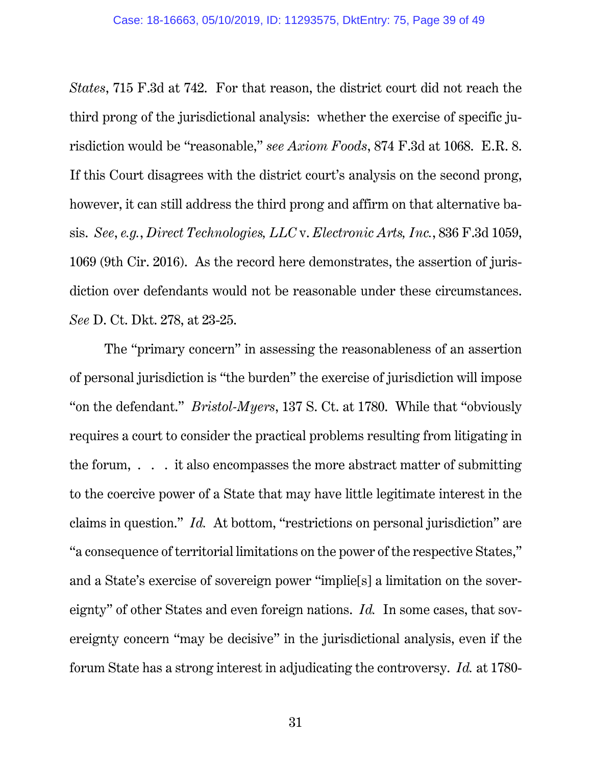*States*, 715 F.3d at 742. For that reason, the district court did not reach the third prong of the jurisdictional analysis: whether the exercise of specific jurisdiction would be "reasonable," *see Axiom Foods*, 874 F.3d at 1068. E.R. 8. If this Court disagrees with the district court's analysis on the second prong, however, it can still address the third prong and affirm on that alternative basis. *See*, *e.g.*, *Direct Technologies, LLC* v. *Electronic Arts, Inc.*, 836 F.3d 1059, 1069 (9th Cir. 2016). As the record here demonstrates, the assertion of jurisdiction over defendants would not be reasonable under these circumstances. *See* D. Ct. Dkt. 278, at 23-25.

The "primary concern" in assessing the reasonableness of an assertion of personal jurisdiction is "the burden" the exercise of jurisdiction will impose "on the defendant." *Bristol-Myers*, 137 S. Ct. at 1780. While that "obviously requires a court to consider the practical problems resulting from litigating in the forum,  $\ldots$  it also encompasses the more abstract matter of submitting to the coercive power of a State that may have little legitimate interest in the claims in question." *Id.* At bottom, "restrictions on personal jurisdiction" are "a consequence of territorial limitations on the power of the respective States," and a State's exercise of sovereign power "implie[s] a limitation on the sovereignty" of other States and even foreign nations. *Id.* In some cases, that sovereignty concern "may be decisive" in the jurisdictional analysis, even if the forum State has a strong interest in adjudicating the controversy. *Id.* at 1780-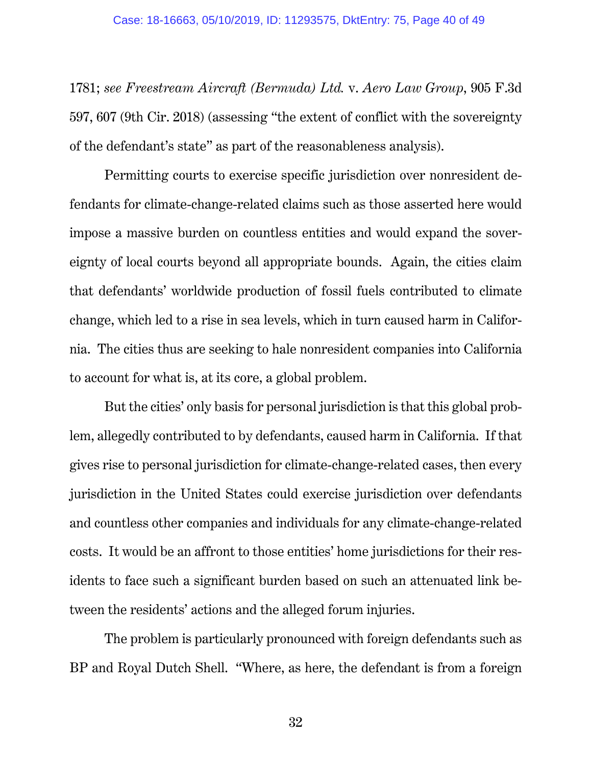1781; *see Freestream Aircraft (Bermuda) Ltd.* v. *Aero Law Group*, 905 F.3d 597, 607 (9th Cir. 2018) (assessing "the extent of conflict with the sovereignty of the defendant's state" as part of the reasonableness analysis).

Permitting courts to exercise specific jurisdiction over nonresident defendants for climate-change-related claims such as those asserted here would impose a massive burden on countless entities and would expand the sovereignty of local courts beyond all appropriate bounds. Again, the cities claim that defendants' worldwide production of fossil fuels contributed to climate change, which led to a rise in sea levels, which in turn caused harm in California. The cities thus are seeking to hale nonresident companies into California to account for what is, at its core, a global problem.

But the cities' only basis for personal jurisdiction is that this global problem, allegedly contributed to by defendants, caused harm in California. If that gives rise to personal jurisdiction for climate-change-related cases, then every jurisdiction in the United States could exercise jurisdiction over defendants and countless other companies and individuals for any climate-change-related costs. It would be an affront to those entities' home jurisdictions for their residents to face such a significant burden based on such an attenuated link between the residents' actions and the alleged forum injuries.

The problem is particularly pronounced with foreign defendants such as BP and Royal Dutch Shell. "Where, as here, the defendant is from a foreign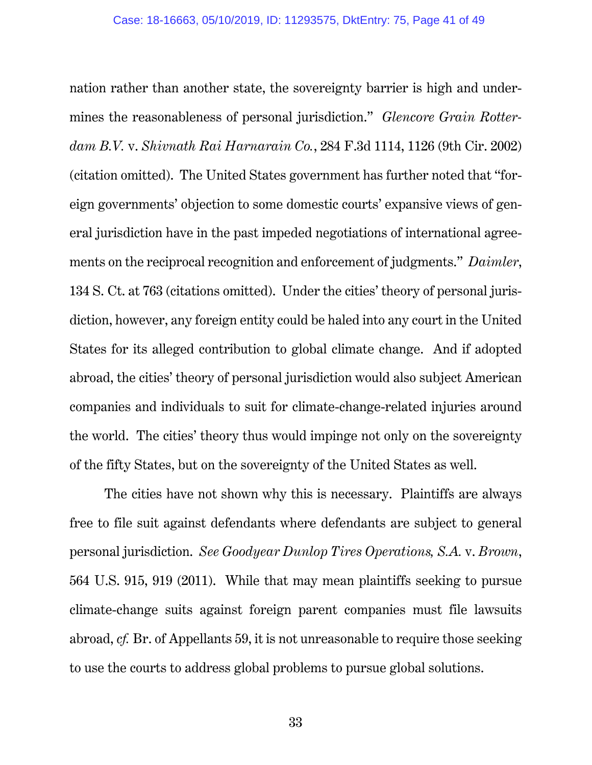nation rather than another state, the sovereignty barrier is high and undermines the reasonableness of personal jurisdiction." *Glencore Grain Rotterdam B.V.* v. *Shivnath Rai Harnarain Co.*, 284 F.3d 1114, 1126 (9th Cir. 2002) (citation omitted). The United States government has further noted that "foreign governments' objection to some domestic courts' expansive views of general jurisdiction have in the past impeded negotiations of international agreements on the reciprocal recognition and enforcement of judgments." *Daimler*, 134 S. Ct. at 763 (citations omitted). Under the cities' theory of personal jurisdiction, however, any foreign entity could be haled into any court in the United States for its alleged contribution to global climate change. And if adopted abroad, the cities' theory of personal jurisdiction would also subject American companies and individuals to suit for climate-change-related injuries around the world. The cities' theory thus would impinge not only on the sovereignty of the fifty States, but on the sovereignty of the United States as well.

The cities have not shown why this is necessary. Plaintiffs are always free to file suit against defendants where defendants are subject to general personal jurisdiction. *See Goodyear Dunlop Tires Operations, S.A.* v. *Brown*, 564 U.S. 915, 919 (2011). While that may mean plaintiffs seeking to pursue climate-change suits against foreign parent companies must file lawsuits abroad, *cf.* Br. of Appellants 59, it is not unreasonable to require those seeking to use the courts to address global problems to pursue global solutions.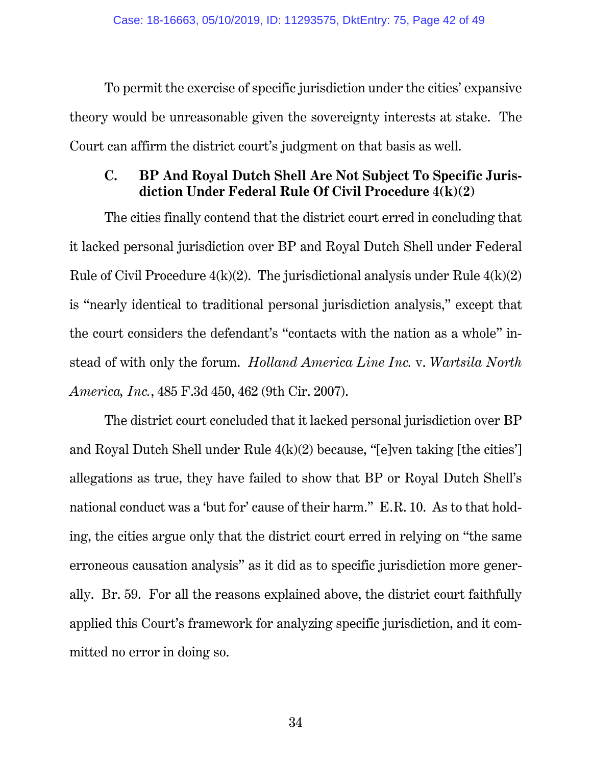To permit the exercise of specific jurisdiction under the cities' expansive theory would be unreasonable given the sovereignty interests at stake. The Court can affirm the district court's judgment on that basis as well.

## **C. BP And Royal Dutch Shell Are Not Subject To Specific Jurisdiction Under Federal Rule Of Civil Procedure 4(k)(2)**

The cities finally contend that the district court erred in concluding that it lacked personal jurisdiction over BP and Royal Dutch Shell under Federal Rule of Civil Procedure  $4(k)(2)$ . The jurisdictional analysis under Rule  $4(k)(2)$ is "nearly identical to traditional personal jurisdiction analysis," except that the court considers the defendant's "contacts with the nation as a whole" instead of with only the forum. *Holland America Line Inc.* v. *Wartsila North America, Inc.*, 485 F.3d 450, 462 (9th Cir. 2007).

The district court concluded that it lacked personal jurisdiction over BP and Royal Dutch Shell under Rule 4(k)(2) because, "[e]ven taking [the cities'] allegations as true, they have failed to show that BP or Royal Dutch Shell's national conduct was a 'but for' cause of their harm." E.R. 10. As to that holding, the cities argue only that the district court erred in relying on "the same erroneous causation analysis" as it did as to specific jurisdiction more generally. Br. 59. For all the reasons explained above, the district court faithfully applied this Court's framework for analyzing specific jurisdiction, and it committed no error in doing so.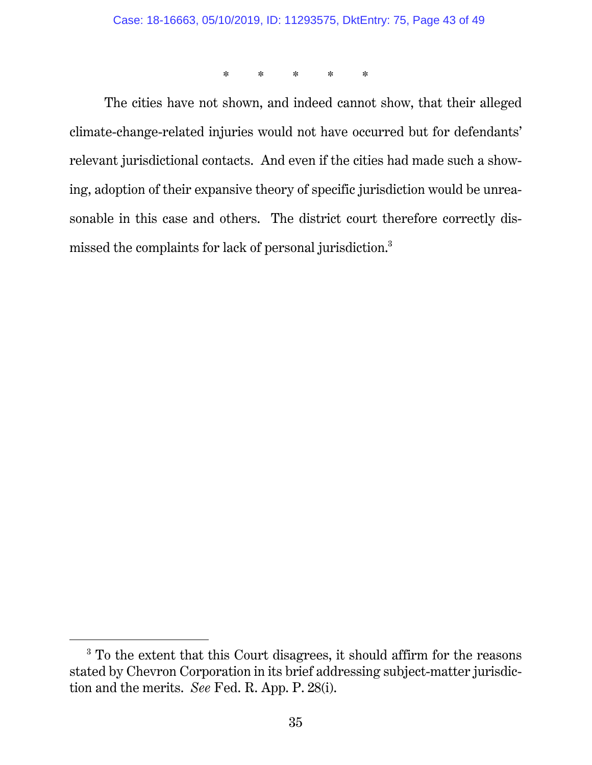\* \* \* \* \*

The cities have not shown, and indeed cannot show, that their alleged climate-change-related injuries would not have occurred but for defendants' relevant jurisdictional contacts. And even if the cities had made such a showing, adoption of their expansive theory of specific jurisdiction would be unreasonable in this case and others. The district court therefore correctly dismissed the complaints for lack of personal jurisdiction.3

 <sup>3</sup> To the extent that this Court disagrees, it should affirm for the reasons stated by Chevron Corporation in its brief addressing subject-matter jurisdiction and the merits. *See* Fed. R. App. P. 28(i).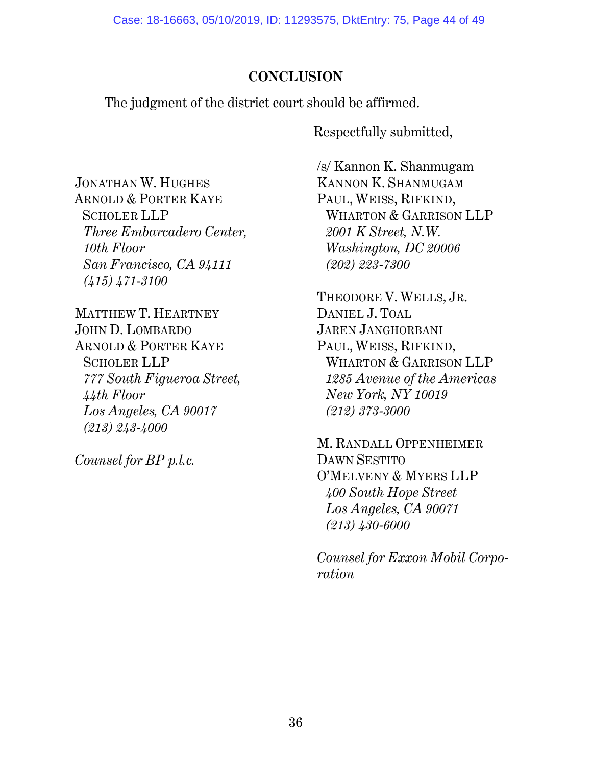# **CONCLUSION**

The judgment of the district court should be affirmed.

Respectfully submitted,

JONATHAN W. HUGHES ARNOLD & PORTER KAYE SCHOLER LLP *Three Embarcadero Center, 10th Floor San Francisco, CA 94111 (415) 471-3100* 

MATTHEW T. HEARTNEY JOHN D. LOMBARDO ARNOLD & PORTER KAYE SCHOLER LLP *777 South Figueroa Street, 44th Floor Los Angeles, CA 90017 (213) 243-4000* 

*Counsel for BP p.l.c.* 

/s/ Kannon K. Shanmugam

KANNON K. SHANMUGAM PAUL, WEISS, RIFKIND, WHARTON & GARRISON LLP *2001 K Street, N.W. Washington, DC 20006 (202) 223-7300* 

THEODORE V. WELLS, JR. DANIEL J. TOAL JAREN JANGHORBANI PAUL, WEISS, RIFKIND, WHARTON & GARRISON LLP *1285 Avenue of the Americas New York, NY 10019 (212) 373-3000* 

M. RANDALL OPPENHEIMER DAWN SESTITO O'MELVENY & MYERS LLP *400 South Hope Street Los Angeles, CA 90071 (213) 430-6000* 

*Counsel for Exxon Mobil Corporation*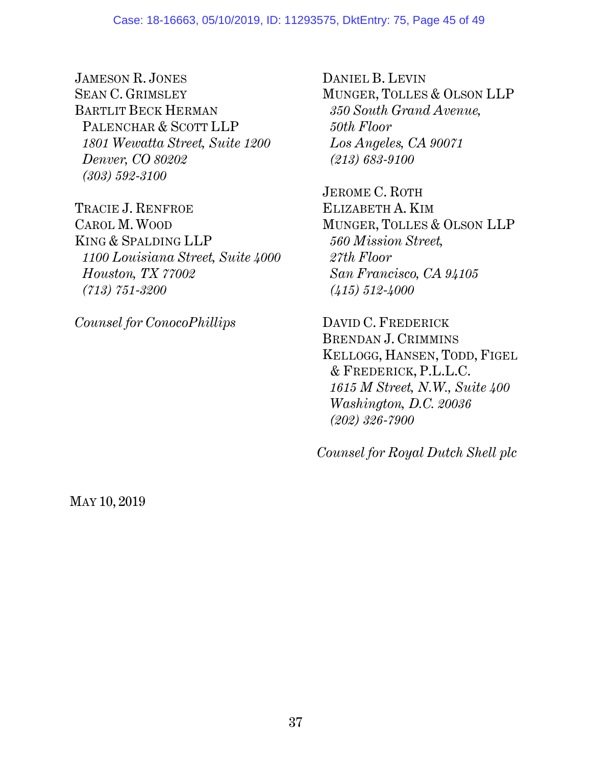#### Case: 18-16663, 05/10/2019, ID: 11293575, DktEntry: 75, Page 45 of 49

JAMESON R. JONES SEAN C. GRIMSLEY BARTLIT BECK HERMAN PALENCHAR & SCOTT LLP *1801 Wewatta Street, Suite 1200 Denver, CO 80202 (303) 592-3100*

TRACIE J. RENFROE CAROL M. WOOD KING & SPALDING LLP *1100 Louisiana Street, Suite 4000 Houston, TX 77002 (713) 751-3200*

*Counsel for ConocoPhillips*

DANIEL B. LEVIN MUNGER, TOLLES & OLSON LLP *350 South Grand Avenue, 50th Floor Los Angeles, CA 90071 (213) 683-9100*

JEROME C. ROTH ELIZABETH A. KIM MUNGER, TOLLES & OLSON LLP *560 Mission Street, 27th Floor San Francisco, CA 94105 (415) 512-4000*

DAVID C. FREDERICK BRENDAN J. CRIMMINS KELLOGG, HANSEN, TODD, FIGEL & FREDERICK, P.L.L.C. *1615 M Street, N.W., Suite 400 Washington, D.C. 20036 (202) 326-7900*

*Counsel for Royal Dutch Shell plc*

MAY 10, 2019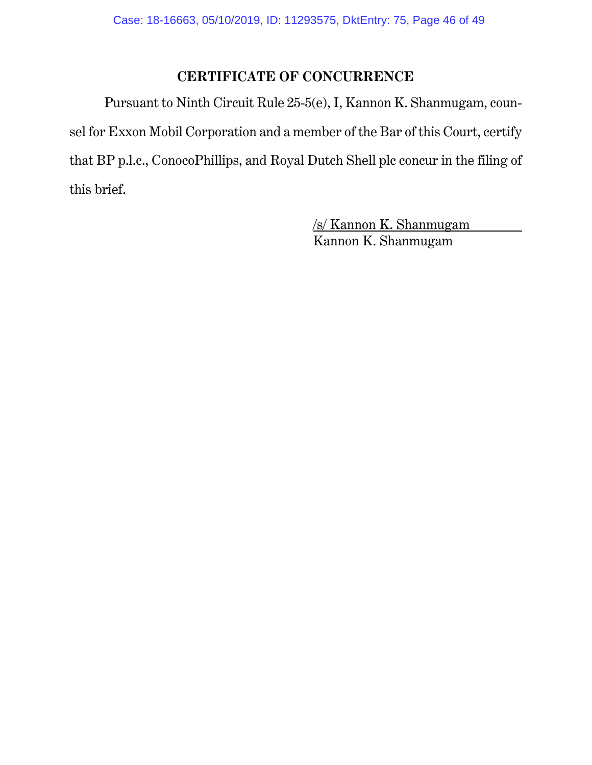# **CERTIFICATE OF CONCURRENCE**

Pursuant to Ninth Circuit Rule 25-5(e), I, Kannon K. Shanmugam, counsel for Exxon Mobil Corporation and a member of the Bar of this Court, certify that BP p.l.c., ConocoPhillips, and Royal Dutch Shell plc concur in the filing of this brief.

> /s/ Kannon K. Shanmugam Kannon K. Shanmugam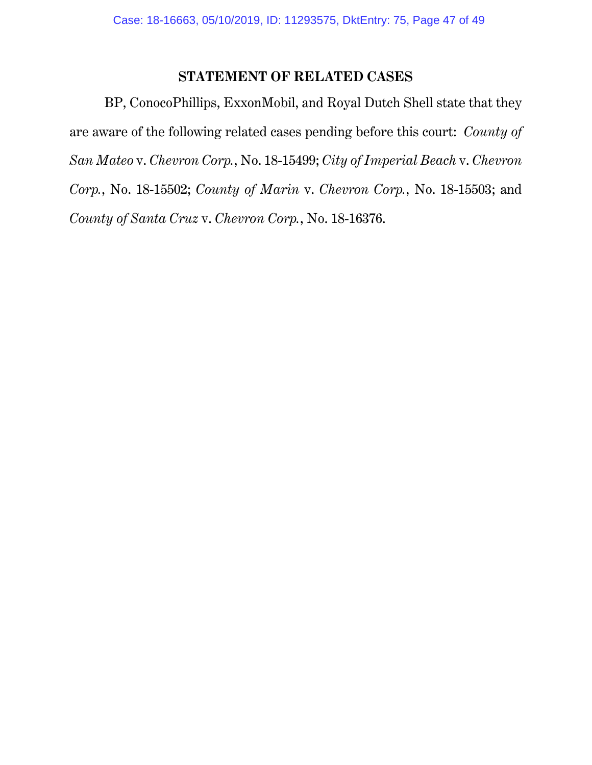## **STATEMENT OF RELATED CASES**

BP, ConocoPhillips, ExxonMobil, and Royal Dutch Shell state that they are aware of the following related cases pending before this court: *County of San Mateo* v. *Chevron Corp.*, No. 18-15499; *City of Imperial Beach* v. *Chevron Corp.*, No. 18-15502; *County of Marin* v. *Chevron Corp.*, No. 18-15503; and *County of Santa Cruz* v. *Chevron Corp.*, No. 18-16376.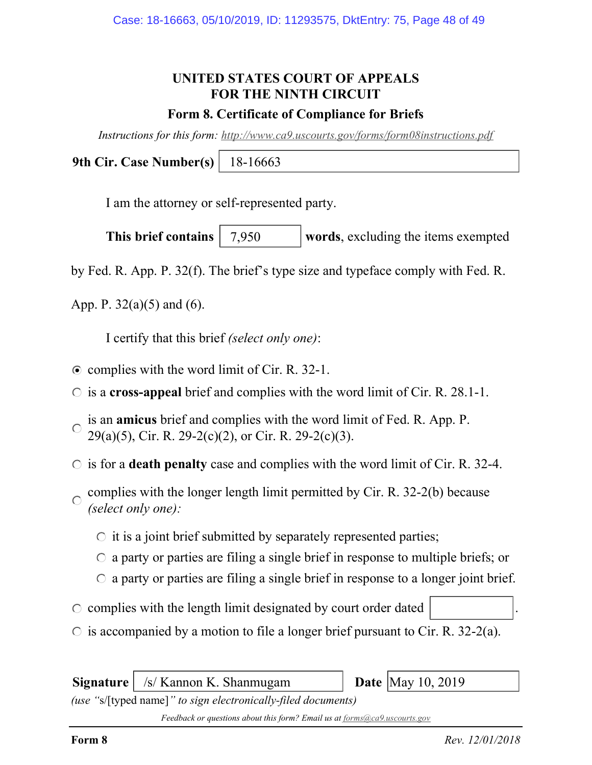# UNITED STATES COURT OF APPEALS FOR THE NINTH CIRCUIT

### Form 8. Certificate of Compliance for Briefs

Instructions for this form: http://www.ca9.uscourts.gov/forms/form08instructions.pdf

9th Cir. Case Number(s) 18-16663

I am the attorney or self-represented party.

This brief contains  $\begin{array}{|l|} 7.950 \end{array}$  words, excluding the items exempted 7,950

by Fed. R. App. P. 32(f). The brief's type size and typeface comply with Fed. R.

App. P.  $32(a)(5)$  and  $(6)$ .

I certify that this brief (select only one):

- $\odot$  complies with the word limit of Cir. R. 32-1.
- $\circ$  is a cross-appeal brief and complies with the word limit of Cir. R. 28.1-1.
- is an amicus brief and complies with the word limit of Fed. R. App. P.  $\bigcap$ 29(a)(5), Cir. R. 29-2(c)(2), or Cir. R. 29-2(c)(3).
- $\circ$  is for a **death penalty** case and complies with the word limit of Cir. R. 32-4.
- complies with the longer length limit permitted by Cir. R. 32-2(b) because  $\bigcap$ (select only one):
	- $\circ$  it is a joint brief submitted by separately represented parties;
	- $\circ$  a party or parties are filing a single brief in response to multiple briefs; or
	- $\circ$  a party or parties are filing a single brief in response to a longer joint brief.
- $\circ$  complies with the length limit designated by court order dated
- $\circ$  is accompanied by a motion to file a longer brief pursuant to Cir. R. 32-2(a).

 **/s/ Kannon K. Shanmugam <b>Date** May 10, 2019

(use "s/[typed name]" to sign electronically-filed documents)

Feedback or questions about this form? Email us at forms@ca9.uscourts.gov